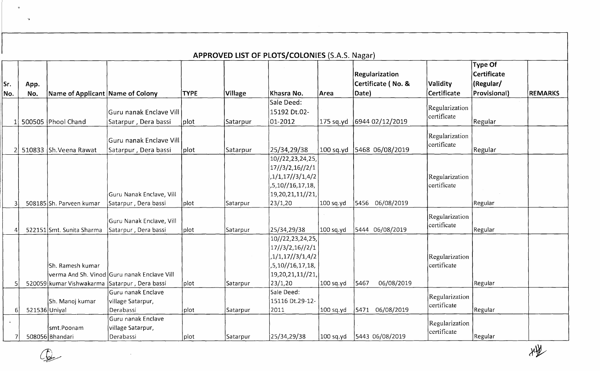|            |               |                                               |                                                  |                   |          | APPROVED LIST OF PLOTS/COLONIES (S.A.S. Nagar) |             |                                               |                               |                                                            |                |
|------------|---------------|-----------------------------------------------|--------------------------------------------------|-------------------|----------|------------------------------------------------|-------------|-----------------------------------------------|-------------------------------|------------------------------------------------------------|----------------|
| Sr.<br>No. | App.<br>No.   | Name of Applicant Name of Colony              |                                                  | <b>TYPE</b>       | Village  | ∣Khasra No.                                    | Area        | Regularization<br>Certificate (No. &<br>Date) | Validity<br>Certificate       | <b>Type Of</b><br>Certificate<br>(Regular/<br>Provisional) | <b>REMARKS</b> |
|            |               |                                               |                                                  |                   |          | Sale Deed:                                     |             |                                               | Regularization                |                                                            |                |
|            |               |                                               | Guru nanak Enclave Vill                          |                   |          | 15192 Dt.02-                                   |             |                                               | certificate                   |                                                            |                |
|            |               | 500505 Phool Chand                            | Satarpur, Dera bassi                             | plot              | Satarpur | 01-2012                                        | 175 sq.yd   | 6944 02/12/2019                               |                               | Regular                                                    |                |
|            |               | 510833 Sh. Veena Rawat                        | Guru nanak Enclave Vill<br>Satarpur, Dera bassi  | plot              | Satarpur | 25/34,29/38                                    | $100$ sq.yd | 5468 06/08/2019                               | Regularization<br>certificate | Regular                                                    |                |
|            |               |                                               |                                                  |                   |          | 10//22,23,24,25,                               |             |                                               |                               |                                                            |                |
|            |               |                                               |                                                  |                   |          | 17/3/2,16//2/1                                 |             |                                               |                               |                                                            |                |
|            |               |                                               |                                                  |                   |          | 1/1, 17/3/1, 4/2                               |             |                                               | Regularization                |                                                            |                |
|            |               |                                               |                                                  |                   |          | ,5,10//16,17,18,                               |             |                                               | certificate                   |                                                            |                |
|            |               |                                               | Guru Nanak Enclave, Vill                         |                   |          | 19, 20, 21, 11// 21,                           |             |                                               |                               |                                                            |                |
|            |               | 508185 Sh. Parveen kumar                      | Satarpur, Dera bassi                             | plot <sup>-</sup> | Satarpur | 23/1,20                                        | 100 sq.yd   | 5456 06/08/2019                               |                               | Regular                                                    |                |
|            |               | 522151 Smt. Sunita Sharma                     | Guru Nanak Enclave, Vill<br>Satarpur, Dera bassi | plot              | Satarpur | 25/34,29/38                                    | 100 sq.yd   | 5444 06/08/2019                               | Regularization<br>certificate | Regular                                                    |                |
|            |               |                                               |                                                  |                   |          | 10//22,23,24,25,                               |             |                                               |                               |                                                            |                |
|            |               |                                               |                                                  |                   |          | 17//3/2,16//2/1                                |             |                                               |                               |                                                            |                |
|            |               |                                               |                                                  |                   |          | ,1/1,17//3/1,4/2                               |             |                                               | Regularization                |                                                            |                |
|            |               | <b>Sh. Ramesh kumar</b>                       |                                                  |                   |          | ,5,10//16,17,18,                               |             |                                               | lcertificate                  |                                                            |                |
|            |               |                                               | verma And Sh. Vinod Guru nanak Enclave Vill      |                   |          | 19,20,21,11//21,                               |             |                                               |                               |                                                            |                |
|            |               | 520059 kumar Vishwakarma Satarpur, Dera bassi |                                                  | plot              | Satarpur | 23/1,20                                        | 100 sq.yd   | 5467<br>06/08/2019                            |                               | Regular                                                    |                |
|            |               |                                               | Guru nanak Enclave                               |                   |          | Sale Deed:                                     |             |                                               | Regularization                |                                                            |                |
|            |               | Sh. Manoj kumar                               | village Satarpur,<br>Derabassi                   | plot              |          | 15116 Dt.29-12-<br>2011                        | 100 sq.yd   | 5471 06/08/2019                               | certificate                   | Regular                                                    |                |
| 6          | 521536 Uniyal |                                               | Guru nanak Enclave                               |                   | Satarpur |                                                |             |                                               |                               |                                                            |                |
|            |               | smt.Poonam                                    | village Satarpur,                                |                   |          |                                                |             |                                               | Regularization                |                                                            |                |
|            |               | 508056 Bhandari                               | Derabassi                                        | plot              | Satarpur | 25/34,29/38                                    | 100 sq.yd   | 5443 06/08/2019                               | certificate                   | Regular                                                    |                |

 $\bigcirc$ 

 $\Delta$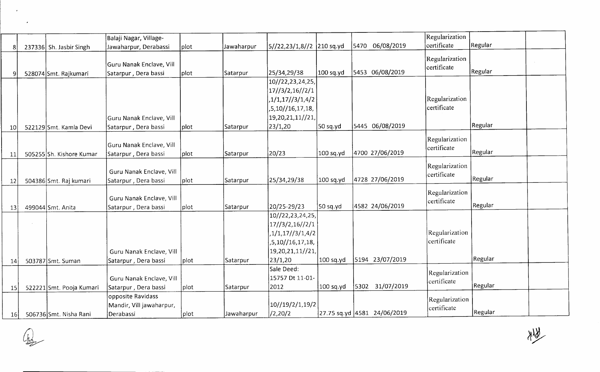|           |                           | Balaji Nagar, Village-   |      |            |                           |             |      |                             | Regularization |         |  |
|-----------|---------------------------|--------------------------|------|------------|---------------------------|-------------|------|-----------------------------|----------------|---------|--|
|           | 237336 Sh. Jasbir Singh   | Jawaharpur, Derabassi    | plot | Jawaharpur | 5//22,23/1,8//2 210 sq.yd |             | 5470 | 06/08/2019                  | certificate    | Regular |  |
|           |                           |                          |      |            |                           |             |      |                             | Regularization |         |  |
|           |                           | Guru Nanak Enclave, Vill |      |            |                           |             |      |                             | lcertificate   |         |  |
|           | 528074 Smt. Rajkumari     | Satarpur, Dera bassi     | plot | Satarpur   | 25/34,29/38               | 100 sq.yd   |      | 5453 06/08/2019             |                | Regular |  |
|           |                           |                          |      |            | 10//22,23,24,25,          |             |      |                             |                |         |  |
|           |                           |                          |      |            | 17//3/2,16//2/1           |             |      |                             |                |         |  |
|           |                           |                          |      |            | ,1/1,17//3/1,4/2          |             |      |                             | Regularization |         |  |
|           |                           |                          |      |            | ,5,10//16,17,18,          |             |      |                             | certificate    |         |  |
|           |                           | Guru Nanak Enclave, Vill |      |            | 19,20,21,11//21,          |             |      |                             |                |         |  |
| 10        | 522129 Smt. Kamla Devi    | Satarpur, Dera bassi     | plot | Satarpur   | 23/1,20                   | 50 sq.yd    |      | 5445 06/08/2019             |                | Regular |  |
|           |                           |                          |      |            |                           |             |      |                             | Regularization |         |  |
|           |                           | Guru Nanak Enclave, Vill |      |            |                           |             |      |                             | certificate    |         |  |
| 11        | 505255 Sh. Kishore Kumar  | Satarpur, Dera bassi     | plot | Satarpur   | 20/23                     | 100 sq.yd   |      | 4700 27/06/2019             |                | Regular |  |
|           |                           |                          |      |            |                           |             |      |                             | Regularization |         |  |
|           |                           | Guru Nanak Enclave, Vill |      |            |                           |             |      |                             | certificate    |         |  |
| 12        | 504386 Smt. Raj kumari    | Satarpur, Dera bassi     | plot | Satarpur   | 25/34,29/38               | 100 sq.yd   |      | 4728 27/06/2019             |                | Regular |  |
|           |                           |                          |      |            |                           |             |      |                             | Regularization |         |  |
|           |                           | Guru Nanak Enclave, Vill |      |            |                           |             |      |                             | certificate    |         |  |
| 13        | 499044 Smt. Anita         | Satarpur, Dera bassi     | plot | Satarpur   | 20/25-29/23               | 50 sq.yd    |      | 4582 24/06/2019             |                | Regular |  |
|           |                           |                          |      |            | 10//22,23,24,25,          |             |      |                             |                |         |  |
|           |                           |                          |      |            | 17/3/2,16//2/1            |             |      |                             |                |         |  |
|           |                           |                          |      |            | ,1/1,17//3/1,4/2          |             |      |                             | Regularization |         |  |
|           |                           |                          |      |            | ,5,10//16,17,18,          |             |      |                             | certificate    |         |  |
|           |                           | Guru Nanak Enclave, Vill |      |            | 19,20,21,11//21,          |             |      |                             |                |         |  |
| 14        | 503787 Smt. Suman         | Satarpur, Dera bassi     | plot | Satarpur   | 23/1,20                   | 100 sq.yd   |      | 5194 23/07/2019             |                | Regular |  |
|           |                           |                          |      |            | Sale Deed:                |             |      |                             | Regularization |         |  |
|           |                           | Guru Nanak Enclave, Vill |      |            | 15757 Dt 11-01-           |             |      |                             | certificate    |         |  |
| <b>15</b> | 522221 Smt. Pooja Kumari  | Satarpur, Dera bassi     | plot | Satarpur   | 2012                      | $100$ sq.yd |      | 5302 31/07/2019             |                | Regular |  |
|           |                           | opposite Ravidass        |      |            |                           |             |      |                             | Regularization |         |  |
|           |                           | Mandir, Vill jawaharpur, |      |            | 10//19/2/1,19/2           |             |      |                             | certificate    |         |  |
|           | 16 506736 Smt. Nisha Rani | Derabassi                | plot | Jawaharpur | /2,20/2                   |             |      | 27.75 sq.yd 4581 24/06/2019 |                | Regular |  |

 $\begin{picture}(120,110) \put(0,0){\line(1,0){10}} \put(15,0){\line(1,0){10}} \put(15,0){\line(1,0){10}} \put(15,0){\line(1,0){10}} \put(15,0){\line(1,0){10}} \put(15,0){\line(1,0){10}} \put(15,0){\line(1,0){10}} \put(15,0){\line(1,0){10}} \put(15,0){\line(1,0){10}} \put(15,0){\line(1,0){10}} \put(15,0){\line(1,0){10}} \put(15,0){\line$ 

美文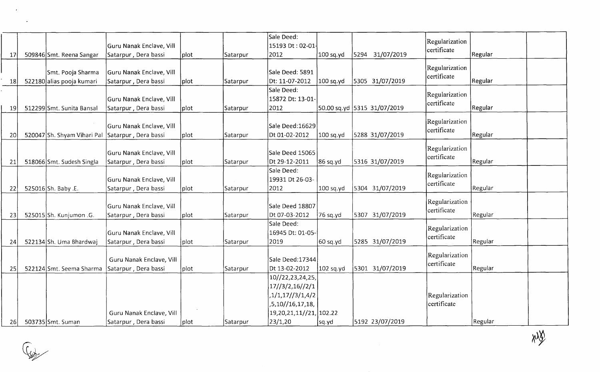|           |                             |                          |      |          | Sale Deed:                   |             |                             |                               |         |  |
|-----------|-----------------------------|--------------------------|------|----------|------------------------------|-------------|-----------------------------|-------------------------------|---------|--|
|           |                             | Guru Nanak Enclave, Vill |      |          | 15193 Dt: 02-01              |             |                             | Regularization<br>certificate |         |  |
| 17        | 509846 Smt. Reena Sangar    | Satarpur, Dera bassi     | plot | Satarpur | 2012                         | 100 sq.yd   | 5294 31/07/2019             |                               | Regular |  |
|           |                             |                          |      |          |                              |             |                             | Regularization                |         |  |
|           | Smt. Pooja Sharma           | Guru Nanak Enclave, Vill |      |          | Sale Deed: 5891              |             |                             | certificate                   |         |  |
| 18        | 522180 alias pooja kumari   | Satarpur, Dera bassi     | plot | Satarpur | Dt: 11-07-2012               | 100 sq.yd   | 5305 31/07/2019             |                               | Regular |  |
|           |                             |                          |      |          | Sale Deed:                   |             |                             | Regularization                |         |  |
|           |                             | Guru Nanak Enclave, Vill |      |          | 15872 Dt: 13-01-             |             |                             | certificate                   |         |  |
| 19        | 512299 Smt. Sunita Bansal   | Satarpur, Dera bassi     | plot | Satarpur | 2012                         |             | 50.00 sq.yd 5315 31/07/2019 |                               | Regular |  |
|           |                             |                          |      |          |                              |             |                             | Regularization                |         |  |
|           |                             | Guru Nanak Enclave, Vill |      |          | Sale Deed:16629              |             |                             | certificate                   |         |  |
| 20        | 520047 Sh. Shyam Vihari Pal | Satarpur, Dera bassi     | plot | Satarpur | Dt 01-02-2012                | $100$ sq.yd | 5288 31/07/2019             |                               | Regular |  |
|           |                             |                          |      |          |                              |             |                             | Regularization                |         |  |
|           |                             | Guru Nanak Enclave, Vill |      |          | Sale Deed 15065              |             |                             | certificate                   |         |  |
| 21        | 518066 Smt. Sudesh Singla   | Satarpur, Dera bassi     | plot | Satarpur | Dt 29-12-2011                | $86$ sq.yd  | 5316 31/07/2019             |                               | Regular |  |
|           |                             |                          |      |          | Sale Deed:                   |             |                             | Regularization                |         |  |
|           |                             | Guru Nanak Enclave, Vill |      |          | 19931 Dt 26-03-              |             |                             | certificate                   |         |  |
| 22        | 525016 Sh. Baby .E.         | Satarpur, Dera bassi     | plot | Satarpur | 2012                         | 100 sq.yd   | 5304 31/07/2019             |                               | Regular |  |
|           |                             |                          |      |          |                              |             |                             | Regularization                |         |  |
|           |                             | Guru Nanak Enclave, Vill |      |          | Sale Deed 18807              |             |                             | certificate                   |         |  |
| 23        | 525015 Sh. Kunjumon .G.     | Satarpur, Dera bassi     | plot | Satarpur | Dt 07-03-2012                | 76 sq.yd    | 5307 31/07/2019             |                               | Regular |  |
|           |                             |                          |      |          | Sale Deed:                   |             |                             | Regularization                |         |  |
|           |                             | Guru Nanak Enclave, Vill |      |          | 16945 Dt: 01-05-             |             |                             | certificate                   |         |  |
| 24        | 522134 Sh. Uma Bhardwaj     | Satarpur, Dera bassi     | plot | Satarpur | 2019                         | 60 sq.yd    | 5285 31/07/2019             |                               | Regular |  |
|           |                             |                          |      |          |                              |             |                             | Regularization                |         |  |
|           |                             | Guru Nanak Enclave, Vill |      |          | Sale Deed: 17344             |             |                             | certificate                   |         |  |
| <b>25</b> | 522124 Smt. Seema Sharma    | Satarpur, Dera bassi     | plot | Satarpur | Dt 13-02-2012                | 102 sq.yd   | 5301 31/07/2019             |                               | Regular |  |
|           |                             |                          |      |          | 10//22,23,24,25,             |             |                             |                               |         |  |
|           |                             |                          |      |          | 17//3/2,16//2/1              |             |                             |                               |         |  |
|           |                             |                          |      |          | ,1/1,17//3/1,4/2             |             |                             | Regularization                |         |  |
|           |                             |                          |      |          | ,5,10//16,17,18,             |             |                             | certificate                   |         |  |
|           |                             | Guru Nanak Enclave, Vill |      |          | 19, 20, 21, 11// 21, 102. 22 |             |                             |                               |         |  |
| <b>26</b> | 503735 Smt. Suman           | Satarpur, Dera bassi     | plot | Satarpur | 23/1,20                      | sq.yd       | 5192 23/07/2019             |                               | Regular |  |

 $x\sqrt{\hat{y}}$ 



 $\overline{\phantom{a}}$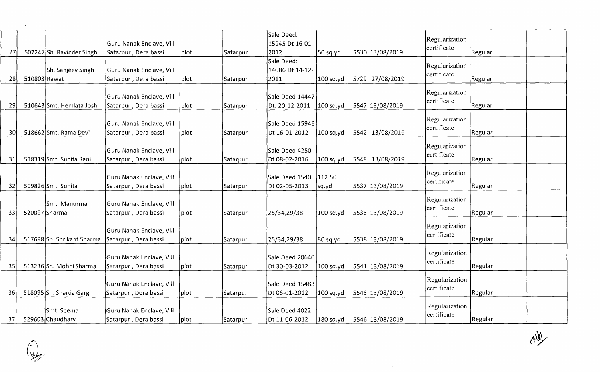|                 |              |                            |                          |      |          | Sale Deed:      |                       |                 | Regularization |         |  |
|-----------------|--------------|----------------------------|--------------------------|------|----------|-----------------|-----------------------|-----------------|----------------|---------|--|
|                 |              |                            | Guru Nanak Enclave, Vill |      |          | 15945 Dt 16-01- |                       |                 | certificate    |         |  |
| 27              |              | 507247 Sh. Ravinder Singh  | Satarpur, Dera bassi     | plot | Satarpur | 2012            | 50 sq.yd              | 5530 13/08/2019 |                | Regular |  |
|                 |              |                            |                          |      |          | Sale Deed:      |                       |                 | Regularization |         |  |
|                 |              | Sh. Sanjeev Singh          | Guru Nanak Enclave, Vill |      |          | 14086 Dt 14-12- |                       |                 | certificate    |         |  |
| 28              | 510803 Rawat |                            | Satarpur, Dera bassi     | plot | Satarpur | 2011            | 100 sq.yd             | 5729 27/08/2019 |                | Regular |  |
|                 |              |                            |                          |      |          |                 |                       |                 | Regularization |         |  |
|                 |              |                            | Guru Nanak Enclave, Vill |      |          | Sale Deed 14447 |                       |                 | certificate    |         |  |
| 29              |              | 510643 Smt. Hemlata Joshi  | Satarpur, Dera bassi     | plot | Satarpur | Dt: 20-12-2011  | 100 sq.yd             | 5547 13/08/2019 |                | Regular |  |
|                 |              |                            |                          |      |          |                 |                       |                 | Regularization |         |  |
|                 |              |                            | Guru Nanak Enclave, Vill |      |          | Sale Deed 15946 |                       |                 | certificate    |         |  |
| 30 <sup>1</sup> |              | 518662 Smt. Rama Devi      | Satarpur, Dera bassi     | plot | Satarpur | Dt 16-01-2012   | 100 sq.yd             | 5542 13/08/2019 |                | Regular |  |
|                 |              |                            |                          |      |          |                 |                       |                 | Regularization |         |  |
|                 |              |                            | Guru Nanak Enclave, Vill |      |          | Sale Deed 4250  |                       |                 | certificate    |         |  |
| 31              |              | 518319 Smt. Sunita Rani    | Satarpur, Dera bassi     | plot | Satarpur | Dt 08-02-2016   | 100 sq.yd             | 5548 13/08/2019 |                | Regular |  |
|                 |              |                            |                          |      |          |                 |                       |                 | Regularization |         |  |
|                 |              |                            | Guru Nanak Enclave, Vill |      |          | Sale Deed 1540  | 112.50                |                 | certificate    |         |  |
| 32              |              | 509826 Smt. Sunita         | Satarpur, Dera bassi     | plot | Satarpur | Dt 02-05-2013   | sq.yd                 | 5537 13/08/2019 |                | Regular |  |
|                 |              |                            |                          |      |          |                 |                       |                 | Regularization |         |  |
|                 |              | Smt. Manorma               | Guru Nanak Enclave, Vill |      |          |                 |                       |                 | certificate    |         |  |
| 33              |              | 520097 Sharma              | Satarpur, Dera bassi     | plot | Satarpur | 25/34,29/38     | 100 sq.yd             | 5536 13/08/2019 |                | Regular |  |
|                 |              |                            |                          |      |          |                 |                       |                 | Regularization |         |  |
|                 |              |                            | Guru Nanak Enclave, Vill |      |          |                 |                       |                 | certificate    |         |  |
| 34              |              | 517698 Sh. Shrikant Sharma | Satarpur, Dera bassi     | plot | Satarpur | 25/34,29/38     | $ 80 \text{ sq.yd} $  | 5538 13/08/2019 |                | Regular |  |
|                 |              |                            |                          |      |          |                 |                       |                 | Regularization |         |  |
|                 |              |                            | Guru Nanak Enclave, Vill |      |          | Sale Deed 20640 |                       |                 | certificate    |         |  |
| 35 <sub>l</sub> |              | 513236 Sh. Mohni Sharma    | Satarpur, Dera bassi     | plot | Satarpur | Dt 30-03-2012   | $100$ sq.yd           | 5541 13/08/2019 |                | Regular |  |
|                 |              |                            |                          |      |          |                 |                       |                 | Regularization |         |  |
|                 |              |                            | Guru Nanak Enclave, Vill |      |          | Sale Deed 15483 |                       |                 | certificate    |         |  |
| 36              |              | 518095 Sh. Sharda Garg     | Satarpur, Dera bassi     | plot | Satarpur | Dt 06-01-2012   | 100 sq.yd             | 5545 13/08/2019 |                | Regular |  |
|                 |              |                            |                          |      |          |                 |                       |                 | Regularization |         |  |
|                 |              | Smt. Seema                 | Guru Nanak Enclave, Vill |      |          | Sale Deed 4022  |                       |                 | certificate    |         |  |
| 37              |              | 529603 Chaudhary           | Satarpur, Dera bassi     | plot | Satarpur | Dt 11-06-2012   | $ 180 \text{ sq.yd} $ | 5546 13/08/2019 |                | Regular |  |

 $\overline{\phantom{a}}$ 

 $x\rightarrow \infty$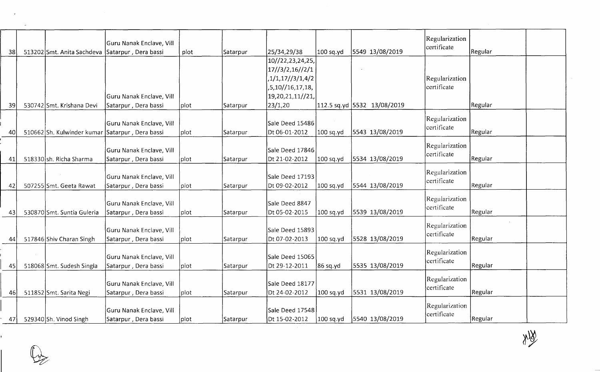| 38  | 513202 Smt. Anita Sachdeva                      | Guru Nanak Enclave, Vill<br>Satarpur, Dera bassi | plot | Satarpur        | 25/34,29/38      | $100$ sq.yd | 5549 13/08/2019             | Regularization<br>certificate | Regular |  |
|-----|-------------------------------------------------|--------------------------------------------------|------|-----------------|------------------|-------------|-----------------------------|-------------------------------|---------|--|
|     |                                                 |                                                  |      |                 | 10//22,23,24,25, |             |                             |                               |         |  |
|     |                                                 |                                                  |      |                 | 17/3/2,16//2/1   |             |                             |                               |         |  |
|     |                                                 |                                                  |      |                 | ,1/1,17//3/1,4/2 |             |                             | Regularization                |         |  |
|     |                                                 |                                                  |      |                 | ,5,10//16,17,18, |             |                             | certificate                   |         |  |
|     |                                                 | Guru Nanak Enclave, Vill                         |      |                 | 19,20,21,11//21, |             |                             |                               |         |  |
| 39  | 530742 Smt. Krishana Devi                       | Satarpur, Dera bassi                             | plot | Satarpur        | 23/1,20          |             | 112.5 sq.yd 5532 13/08/2019 |                               | Regular |  |
|     |                                                 |                                                  |      |                 |                  |             |                             |                               |         |  |
|     |                                                 | Guru Nanak Enclave, Vill                         |      |                 | Sale Deed 15486  |             |                             | Regularization<br>certificate |         |  |
| 40  | 510662 Sh. Kulwinder kumar Satarpur, Dera bassi |                                                  | plot | Satarpur        | Dt 06-01-2012    | 100 sq.yd   | 5543 13/08/2019             |                               | Regular |  |
|     |                                                 |                                                  |      |                 |                  |             |                             | Regularization                |         |  |
|     |                                                 | Guru Nanak Enclave, Vill                         |      |                 | Sale Deed 17846  |             |                             | certificate                   |         |  |
| 41  | 518330 sh. Richa Sharma                         | Satarpur, Dera bassi                             | plot | Satarpur        | Dt 21-02-2012    | 100 sq.yd   | 5534 13/08/2019             |                               | Regular |  |
|     |                                                 |                                                  |      |                 |                  |             |                             | Regularization                |         |  |
|     |                                                 | Guru Nanak Enclave, Vill                         |      |                 | Sale Deed 17193  |             |                             | certificate                   |         |  |
| 42  | 507255 Smt. Geeta Rawat                         | Satarpur, Dera bassi                             | plot | Satarpur        | Dt 09-02-2012    | 100 sq.yd   | 5544 13/08/2019             |                               | Regular |  |
|     |                                                 |                                                  |      |                 |                  |             |                             | Regularization                |         |  |
|     |                                                 | Guru Nanak Enclave, Vill                         |      |                 | Sale Deed 8847   |             |                             | certificate                   |         |  |
| 43  | 530870 Smt. Suntia Guleria                      | Satarpur, Dera bassi                             | plot | Satarpur        | Dt 05-02-2015    | 100 sq.yd   | 5539 13/08/2019             |                               | Regular |  |
|     |                                                 | Guru Nanak Enclave, Vill                         |      |                 | Sale Deed 15893  |             |                             | Regularization                |         |  |
| 44  | 517846 Shiv Charan Singh                        | Satarpur, Dera bassi                             | plot | Satarpur        | Dt 07-02-2013    | $100$ sq.yd | 5528 13/08/2019             | certificate                   | Regular |  |
|     |                                                 |                                                  |      |                 |                  |             |                             |                               |         |  |
|     |                                                 | Guru Nanak Enclave, Vill                         |      |                 | Sale Deed 15065  |             |                             | Regularization                |         |  |
| 45  | 518068 Smt. Sudesh Singla                       | Satarpur, Dera bassi                             | plot | Satarpur        | Dt 29-12-2011    | 86 sq.yd    | 5535 13/08/2019             | certificate                   | Regular |  |
|     |                                                 |                                                  |      |                 |                  |             |                             |                               |         |  |
|     |                                                 | Guru Nanak Enclave, Vill                         |      |                 | Sale Deed 18177  |             |                             | Regularization                |         |  |
| 46  | 511852 Smt. Sarita Negi                         | Satarpur, Dera bassi                             | plot | Satarpur        | Dt 24-02-2012    | $100$ sq.yd | 5531 13/08/2019             | certificate                   | Regular |  |
|     |                                                 |                                                  |      |                 |                  |             |                             | Regularization                |         |  |
|     |                                                 | Guru Nanak Enclave, Vill                         |      |                 | Sale Deed 17548  |             |                             | certificate                   |         |  |
| 471 | 529340 Sh. Vinod Singh                          | Satarpur, Dera bassi                             | plot | <b>Satarpur</b> | Dt 15-02-2012    | $100$ sq.yd | 5540 13/08/2019             |                               | Regular |  |

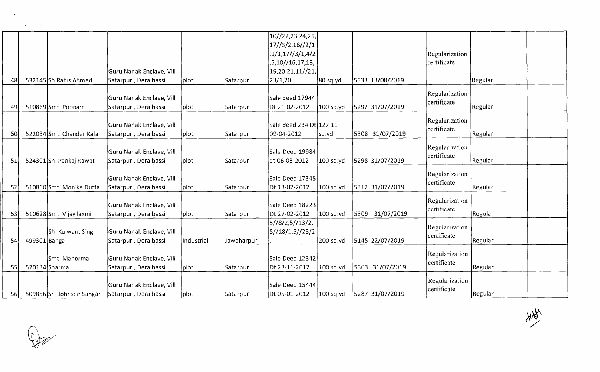|    |              |                           |                          |            |                 | 10//22,23,24,25,        |             |                 |                |         |  |
|----|--------------|---------------------------|--------------------------|------------|-----------------|-------------------------|-------------|-----------------|----------------|---------|--|
|    |              |                           |                          |            |                 | 17//3/2,16//2/1         |             |                 |                |         |  |
|    |              |                           |                          |            |                 | ,1/1,17//3/1,4/2        |             |                 | Regularization |         |  |
|    |              |                           |                          |            |                 | ,5,10//16,17,18,        |             |                 | certificate    |         |  |
|    |              |                           | Guru Nanak Enclave, Vill |            |                 | 19,20,21,11//21,        |             |                 |                |         |  |
| 48 |              | 532145 Sh.Rahis Ahmed     | Satarpur, Dera bassi     | plot       | <b>Satarpur</b> | 23/1,20                 | 80 sq.yd    | 5533 13/08/2019 |                | Regular |  |
|    |              |                           |                          |            |                 |                         |             |                 | Regularization |         |  |
|    |              |                           | Guru Nanak Enclave, Vill |            |                 | Sale deed 17944         |             |                 | certificate    |         |  |
| 49 |              | 510869 Smt. Poonam        | Satarpur, Dera bassi     | plot       | Satarpur        | Dt 21-02-2012           | 100 sq.yd   | 5292 31/07/2019 |                | Regular |  |
|    |              |                           |                          |            |                 |                         |             |                 | Regularization |         |  |
|    |              |                           | Guru Nanak Enclave, Vill |            |                 | Sale deed 234 Dt 127.11 |             |                 | certificate    |         |  |
| 50 |              | 522034 Smt. Chander Kala  | Satarpur, Dera bassi     | plot       | Satarpur        | 09-04-2012              | sq.yd       | 5308 31/07/2019 |                | Regular |  |
|    |              |                           |                          |            |                 |                         |             |                 |                |         |  |
|    |              |                           | Guru Nanak Enclave, Vill |            |                 | Sale Deed 19984         |             |                 | Regularization |         |  |
| 51 |              | 524301 Sh. Pankaj Rawat   | Satarpur, Dera bassi     | plot       | Satarpur        | dt 06-03-2012           | 100 sq.yd   | 5298 31/07/2019 | certificate    | Regular |  |
|    |              |                           |                          |            |                 |                         |             |                 |                |         |  |
|    |              |                           | Guru Nanak Enclave, Vill |            |                 | Sale Deed 17345         |             |                 | Regularization |         |  |
| 52 |              | 510860 Smt. Monika Dutta  | Satarpur, Dera bassi     | plot       | Satarpur        | Dt 13-02-2012           | $100$ sq.yd | 5312 31/07/2019 | certificate    | Regular |  |
|    |              |                           |                          |            |                 |                         |             |                 |                |         |  |
|    |              |                           | Guru Nanak Enclave, Vill |            |                 | Sale Deed 18223         |             |                 | Regularization |         |  |
| 53 |              | 510628 Smt. Vijay laxmi   | Satarpur, Dera bassi     | plot       | Satarpur        | Dt 27-02-2012           | 100 sq.yd   | 5309 31/07/2019 | certificate    | Regular |  |
|    |              |                           |                          |            |                 | 5//8/2,5//13/2,         |             |                 |                |         |  |
|    |              | Sh. Kulwant Singh         | Guru Nanak Enclave, Vill |            |                 | 5//18/1,5//23/2         |             |                 | Regularization |         |  |
| 54 | 499301 Banga |                           | Satarpur, Dera bassi     | Industrial | Jawaharpur      |                         | 200 sq.yd   | 5145 22/07/2019 | lcertificate   | Regular |  |
|    |              |                           |                          |            |                 |                         |             |                 |                |         |  |
|    |              | Smt. Manorma              | Guru Nanak Enclave, Vill |            |                 | Sale Deed 12342         |             |                 | Regularization |         |  |
| 55 |              | 520134 Sharma             | Satarpur, Dera bassi     | plot       | Satarpur        | Dt 23-11-2012           | 100 sq.yd   | 5303 31/07/2019 | certificate    | Regular |  |
|    |              |                           |                          |            |                 |                         |             |                 |                |         |  |
|    |              |                           | Guru Nanak Enclave, Vill |            |                 | Sale Deed 15444         |             |                 | Regularization |         |  |
|    |              |                           |                          |            |                 |                         |             |                 | certificate    |         |  |
| 56 |              | 509856 Sh. Johnson Sangar | Satarpur, Dera bassi     | plot       | Satarpur        | Dt 05-01-2012           | 100 sq.yd   | 5287 31/07/2019 |                | Regular |  |



 $\epsilon$ 

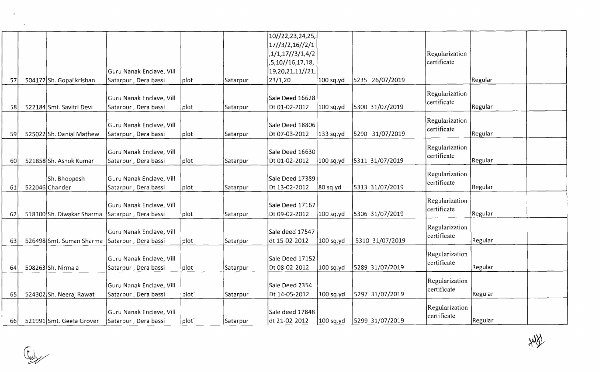|    |                          |                          |                |                 | 10//22,23,24,25, |             |                 |                               |         |  |
|----|--------------------------|--------------------------|----------------|-----------------|------------------|-------------|-----------------|-------------------------------|---------|--|
|    |                          |                          |                |                 | 17//3/2,16//2/1  |             |                 |                               |         |  |
|    |                          |                          |                |                 | ,1/1,17//3/1,4/2 |             |                 | Regularization                |         |  |
|    |                          |                          |                |                 | ,5,10//16,17,18, |             |                 | certificate                   |         |  |
|    |                          | Guru Nanak Enclave, Vill |                |                 | 19,20,21,11//21, |             |                 |                               |         |  |
| 57 | 504172 Sh. Gopal krishan | Satarpur, Dera bassi     | plot           | Satarpur        | 23/1,20          | $100$ sq.yd | 5235 26/07/2019 |                               | Regular |  |
|    |                          |                          |                |                 |                  |             |                 |                               |         |  |
|    |                          | Guru Nanak Enclave, Vill |                |                 | Sale Deed 16628  |             |                 | Regularization<br>certificate |         |  |
| 58 | 522184 Smt. Savitri Devi | Satarpur, Dera bassi     | plot           | <b>Satarpur</b> | Dt 01-02-2012    | 100 sq.yd   | 5300 31/07/2019 |                               | Regular |  |
|    |                          |                          |                |                 |                  |             |                 | Regularization                |         |  |
|    |                          | Guru Nanak Enclave, Vill |                |                 | Sale Deed 18806  |             |                 | certificate                   |         |  |
| 59 | 525022 Sh. Danial Mathew | Satarpur, Dera bassi     | plot           | Satarpur        | Dt 07-03-2012    | $133$ sq.yd | 5290 31/07/2019 |                               | Regular |  |
|    |                          |                          |                |                 |                  |             |                 | Regularization                |         |  |
|    |                          | Guru Nanak Enclave, Vill |                |                 | Sale Deed 16630  |             |                 | certificate                   |         |  |
| 60 | 521858 Sh. Ashok Kumar   | Satarpur, Dera bassi     | plot           | Satarpur        | Dt 01-02-2012    | 100 sq.yd   | 5311 31/07/2019 |                               | Regular |  |
|    |                          |                          |                |                 |                  |             |                 | Regularization                |         |  |
|    | Sh. Bhoopesh             | Guru Nanak Enclave, Vill |                |                 | Sale Deed 17389  |             |                 | certificate                   |         |  |
| 61 | 522046 Chander           | Satarpur, Dera bassi     | plot           | Satarpur        | Dt 13-02-2012    | 80 sq.yd    | 5313 31/07/2019 |                               | Regular |  |
|    |                          |                          |                |                 |                  |             |                 | Regularization                |         |  |
|    |                          | Guru Nanak Enclave, Vill |                |                 | Sale Deed 17167  |             |                 | certificate                   |         |  |
| 62 | 518100Sh. Diwakar Sharma | Satarpur, Dera bassi     | plot           | Satarpur        | Dt 09-02-2012    | $100$ sq.yd | 5306 31/07/2019 |                               | Regular |  |
|    |                          |                          |                |                 |                  |             |                 | Regularization                |         |  |
|    |                          | Guru Nanak Enclave, Vill |                |                 | Sale deed 17547  |             |                 | certificate                   |         |  |
| 63 | 526498 Smt. Suman Sharma | Satarpur, Dera bassi     | plot           | Satarpur        | dt 15-02-2012    | 100 sq.yd   | 5310 31/07/2019 |                               | Regular |  |
|    |                          |                          |                |                 |                  |             |                 | Regularization                |         |  |
|    |                          | Guru Nanak Enclave, Vill |                |                 | Sale Deed 17152  |             |                 | certificate                   |         |  |
| 64 | 508263 Sh. Nirmala       | Satarpur, Dera bassi     | plot           | Satarpur        | Dt 08-02-2012    | 100 sq.yd   | 5289 31/07/2019 |                               | Regular |  |
|    |                          |                          |                |                 |                  |             |                 | Regularization                |         |  |
|    |                          | Guru Nanak Enclave, Vill |                |                 | Sale Deed 2354   |             |                 | certificate                   |         |  |
| 65 | 524302 Sh. Neeraj Rawat  | Satarpur, Dera bassi     | $ plot\rangle$ | Satarpur        | Dt 14-05-2012    | $100$ sq.yd | 5297 31/07/2019 |                               | Regular |  |
|    |                          |                          |                |                 | Sale deed 17848  |             |                 | Regularization                |         |  |
|    |                          | Guru Nanak Enclave, Vill |                |                 |                  |             | 5299 31/07/2019 | certificate                   |         |  |
| 66 | 521991 Smt. Geeta Grover | Satarpur, Dera bassi     | plot`          | Satarpur        | dt 21-02-2012    | $100$ sq.yd |                 |                               | Regular |  |

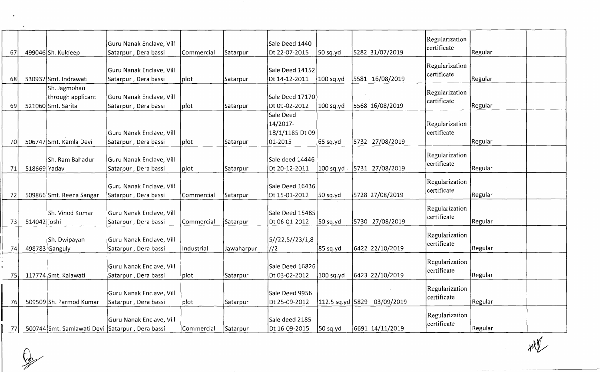| 67 |                | 499046 Sh. Kuldeep                                      | Guru Nanak Enclave, Vill<br>Satarpur, Dera bassi | Commercial | Satarpur   | Sale Deed 1440<br>Dt 22-07-2015                      | 50 sq.yd  | 5282 31/07/2019             | Regularization<br>certificate  | Regular        |  |
|----|----------------|---------------------------------------------------------|--------------------------------------------------|------------|------------|------------------------------------------------------|-----------|-----------------------------|--------------------------------|----------------|--|
| 68 |                | 530937 Smt. Indrawati                                   | Guru Nanak Enclave, Vill<br>Satarpur, Dera bassi | plot       | Satarpur   | Sale Deed 14152<br>Dt 14-12-2011                     | 100 sq.yd | 5581 16/08/2019             | Regularization<br>certificate  | Regular        |  |
| 69 |                | Sh. Jagmohan<br>through applicant<br>521060 Smt. Sarita | Guru Nanak Enclave, Vill<br>Satarpur, Dera bassi | plot       | Satarpur   | Sale Deed 17170<br>Dt 09-02-2012                     | 100 sq.yd | 5568 16/08/2019             | Regularization<br>certificate  | Regular        |  |
| 70 |                | 506747 Smt. Kamla Devi                                  | Guru Nanak Enclave, Vill<br>Satarpur, Dera bassi | plot       | Satarpur   | Sale Deed<br>14/2017-<br>18/1/1185 Dt 09-<br>01-2015 | [65 sq.yd | 5732 27/08/2019             | Regularization<br>certificate  | Regular        |  |
| 71 | $518669$ Yadav | <b>Sh. Ram Bahadur</b>                                  | Guru Nanak Enclave, Vill<br>Satarpur, Dera bassi | plot       | Satarpur   | Sale deed 14446<br>Dt 20-12-2011                     | 100 sq.yd | 5731 27/08/2019             | Regularization<br>certificate  | <b>Regular</b> |  |
| 72 |                | 509866 Smt. Reena Sangar                                | Guru Nanak Enclave, Vill<br>Satarpur, Dera bassi | Commercial | Satarpur   | Sale Deed 16436<br>Dt 15-01-2012                     | 50 sq.yd  | 5728 27/08/2019             | Regularization<br>certificate  | Regular        |  |
| 73 | 514042 joshi   | Sh. Vinod Kumar                                         | Guru Nanak Enclave, Vill<br>Satarpur, Dera bassi | Commercial | Satarpur   | Sale Deed 15485<br>Dt 06-01-2012                     | [50 sq.yd | 5730 27/08/2019             | Regularization<br>certificate  | Regular        |  |
| 74 |                | Sh. Dwipayan<br>498783 Ganguly                          | Guru Nanak Enclave, Vill<br>Satarpur, Dera bassi | Industrial | Jawaharpur | 5//22,5//23/1,8<br>1/2                               | 85 sq.yd  | 6422 22/10/2019             | Regularization<br>certificate  | Regular        |  |
| 75 |                | 117774 Smt. Kalawati                                    | Guru Nanak Enclave, Vill<br>Satarpur, Dera bassi | plot       | Satarpur   | Sale Deed 16826<br>Dt 03-02-2012                     | 100 sq.yd | 6423 22/10/2019             | Regularization<br>certificate  | Regular        |  |
| 76 |                | 509509 Sh. Parmod Kumar                                 | Guru Nanak Enclave, Vill<br>Satarpur, Dera bassi | plot       | Satarpur   | Sale Deed 9956<br>Dt 25-09-2012                      |           | 112.5 sq.yd 5829 03/09/2019 | Regularization<br>certificate  | Regular        |  |
| 77 |                | 500744 Smt. Samlawati Devi Satarpur, Dera bassi         | Guru Nanak Enclave, Vill                         | Commercial | Satarpur   | Sale deed 2185<br>Dt 16-09-2015                      | 50 sq.yd  | 6691 14/11/2019             | Regularization<br>lcertificate | Regular        |  |

 $\mathbb{Q}$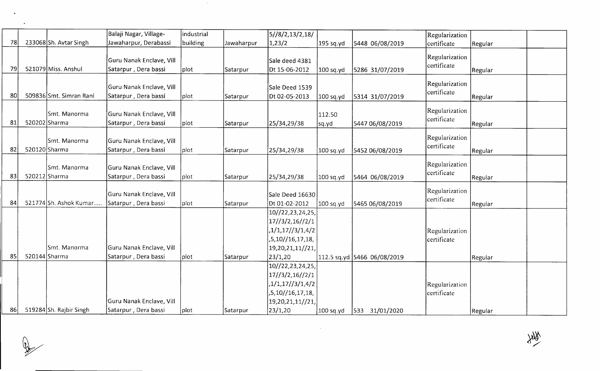|    |               |                         | Balaji Nagar, Village-   | industrial    |            | 5//8/2,13/2,18/  |             |                             | Regularization |                |  |
|----|---------------|-------------------------|--------------------------|---------------|------------|------------------|-------------|-----------------------------|----------------|----------------|--|
| 78 |               | 233068 Sh. Avtar Singh  | Jawaharpur, Derabassi    | building      | Jawaharpur | 1,23/2           | 195 sq.yd   | 5448 06/08/2019             | certificate    | Regular        |  |
|    |               |                         |                          |               |            |                  |             |                             | Regularization |                |  |
|    |               |                         | Guru Nanak Enclave, Vill |               |            | Sale deed 4381   |             |                             | certificate    |                |  |
| 79 |               | 521079 Miss. Anshul     | Satarpur, Dera bassi     | plot          | Satarpur   | Dt 15-06-2012    | $100$ sq.yd | 5286 31/07/2019             |                | <b>Regular</b> |  |
|    |               |                         |                          |               |            |                  |             |                             | Regularization |                |  |
|    |               |                         | Guru Nanak Enclave, Vill |               |            | Sale Deed 1539   |             |                             | certificate    |                |  |
| 80 |               | 509836 Smt. Simran Rani | Satarpur, Dera bassi     | plot          | Satarpur   | Dt 02-05-2013    | 100 sq.yd   | 5314 31/07/2019             |                | Regular        |  |
|    |               |                         |                          |               |            |                  |             |                             | Regularization |                |  |
|    |               | Smt. Manorma            | Guru Nanak Enclave, Vill |               |            |                  | 112.50      |                             | certificate    |                |  |
| 81 | 520202 Sharma |                         | Satarpur, Dera bassi     | plot          | Satarpur   | 25/34,29/38      | sq.yd       | 5447 06/08/2019             |                | Regular        |  |
|    |               |                         |                          |               |            |                  |             |                             | Regularization |                |  |
|    |               | Smt. Manorma            | Guru Nanak Enclave, Vill |               |            |                  |             |                             | certificate    |                |  |
| 82 | 520120 Sharma |                         | Satarpur, Dera bassi     | plot          | Satarpur   | 25/34,29/38      | 100 sq.yd   | 5452 06/08/2019             |                | Regular        |  |
|    |               | Smt. Manorma            | Guru Nanak Enclave, Vill |               |            |                  |             |                             | Regularization |                |  |
| 83 | 520212 Sharma |                         | Satarpur, Dera bassi     | plot          |            |                  |             |                             | certificate    |                |  |
|    |               |                         |                          |               | Satarpur   | 25/34,29/38      | $100$ sq.yd | 5464 06/08/2019             |                | Regular        |  |
|    |               |                         | Guru Nanak Enclave, Vill |               |            | Sale Deed 16630  |             |                             | Regularization |                |  |
| 84 |               | 521774 Sh. Ashok Kumar  | Satarpur, Dera bassi     | plot          | Satarpur   | Dt 01-02-2012    | 100 sq.yd   | 5465 06/08/2019             | certificate    | Regular        |  |
|    |               |                         |                          |               |            | 10//22,23,24,25, |             |                             |                |                |  |
|    |               |                         |                          |               |            | 17//3/2,16//2/1  |             |                             |                |                |  |
|    |               |                         |                          |               |            | 1/1, 17/3/1, 4/2 |             |                             | Regularization |                |  |
|    |               |                         |                          |               |            | ,5,10//16,17,18, |             |                             | certificate    |                |  |
|    |               | Smt. Manorma            | Guru Nanak Enclave, Vill |               |            | 19,20,21,11//21, |             |                             |                |                |  |
| 85 | 520144 Sharma |                         | Satarpur, Dera bassi     | <b>J</b> plot | Satarpur   | 23/1,20          |             | 112.5 sq.yd 5466 06/08/2019 |                | Regular        |  |
|    |               |                         |                          |               |            | 10//22,23,24,25, |             |                             |                |                |  |
|    |               |                         |                          |               |            | 17/3/2,16//2/1   |             |                             |                |                |  |
|    |               |                         |                          |               |            | ,1/1,17//3/1,4/2 |             |                             | Regularization |                |  |
|    |               |                         |                          |               |            | ,5,10//16,17,18, |             |                             | certificate    |                |  |
|    |               |                         | Guru Nanak Enclave, Vill |               |            | 19,20,21,11//21, |             |                             |                |                |  |
| 86 |               | 519284 Sh. Rajbir Singh | Satarpur, Dera bassi     | plot          | Satarpur   | 23/1,20          | 100 sq.yd   | $ 533 \t31/01/2020$         |                | l Regular      |  |

 $\mathcal{L}^{\text{max}}_{\text{max}}$  ,  $\mathcal{L}^{\text{max}}_{\text{max}}$ 

 $\begin{picture}(20,20) \put(0,0){\vector(1,0){10}} \put(15,0){\vector(1,0){10}} \put(15,0){\vector(1,0){10}} \put(15,0){\vector(1,0){10}} \put(15,0){\vector(1,0){10}} \put(15,0){\vector(1,0){10}} \put(15,0){\vector(1,0){10}} \put(15,0){\vector(1,0){10}} \put(15,0){\vector(1,0){10}} \put(15,0){\vector(1,0){10}} \put(15,0){\vector(1,0){10}} \put(15,0){\vector(1$ 

 $\langle \bullet \rangle$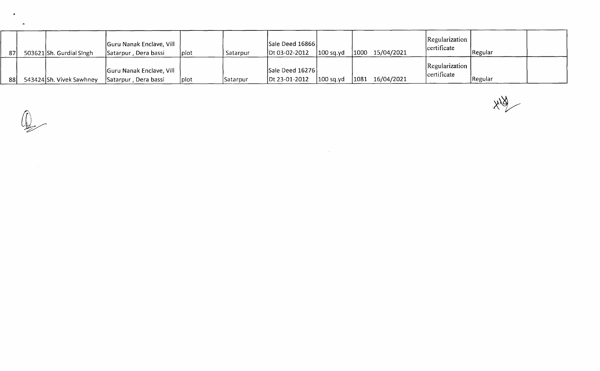| 87 | 503621 Sh. Gurdial Singh | Guru Nanak Enclave, Vill<br>Satarpur, Dera bassi | Iplot | Satarpur | Sale Deed 16866<br>Dt 03-02-2012 | 100 sq.yd |      | $1000$ 15/04/2021 | Regularization  <br>certificate  | <b>Regular</b> |  |
|----|--------------------------|--------------------------------------------------|-------|----------|----------------------------------|-----------|------|-------------------|----------------------------------|----------------|--|
| 88 | 543424 Sh. Vivek Sawhney | Guru Nanak Enclave, Vill<br>Satarpur, Dera bassi | Iplot | Satarpur | Sale Deed 16276<br>Dt 23-01-2012 | 100 sq.yd | 1081 | 16/04/2021        | Regularization  <br>lcertificate | <b>Regular</b> |  |

the contract of the contract of the

 $x\frac{1}{2}$ 

 $\widehat{\mathcal{L}}$ 

 $\bullet$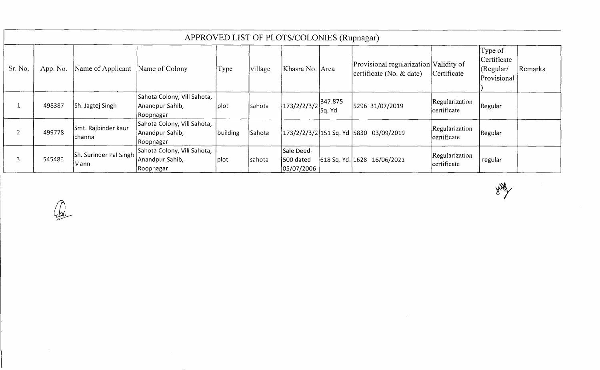|         |          |                                 |                                                              |             |         | APPROVED LIST OF PLOTS/COLONIES (Rupnagar) |                   |                                                                    |                               |                                                    |         |
|---------|----------|---------------------------------|--------------------------------------------------------------|-------------|---------|--------------------------------------------|-------------------|--------------------------------------------------------------------|-------------------------------|----------------------------------------------------|---------|
| Sr. No. | App. No. | Name of Applicant               | Name of Colony                                               | <b>Type</b> | village | Khasra No. Area                            |                   | Provisional regularization Validity of<br>certificate (No. & date) | Certificate                   | Type of<br>Certificate<br>(Regular/<br>Provisional | Remarks |
|         | 498387   | Sh. Jagtej Singh                | Sahota Colony, Vill Sahota,<br>Anandpur Sahib,<br>Roopnagar  | plot        | sahota  | 173/2/2/3/2                                | 347.875<br>Sq. Yd | 5296 31/07/2019                                                    | Regularization<br>certificate | Regular                                            |         |
|         | 499778   | Smt. Rajbinder kaur<br>Ichanna  | Sahota Colony, Vill Sahota,<br>Anandpur Sahib,<br> Roopnagar | building    | Sahota  |                                            |                   | 173/2/2/3/2 151 Sq. Yd  5830 03/09/2019                            | Regularization<br>certificate | Regular                                            |         |
|         | 545486   | Sh. Surinder Pal Singh<br> Mann | Sahota Colony, Vill Sahota,<br>Anandpur Sahib,<br>Roopnagar  | plot        | sahota  | Sale Deed-<br>500 dated<br>05/07/2006      |                   | 618 Sq. Yd. 1628 16/06/2021                                        | Regularization<br>certificate | regular                                            |         |

ANY

 $\bigcirc$ 

 $\sim 400$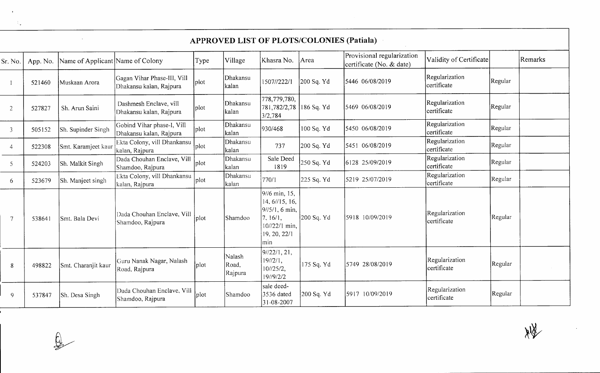| é<br>с            |  |
|-------------------|--|
| ١<br>$\mathbf{v}$ |  |

|                | <b>APPROVED LIST OF PLOTS/COLONIES (Patiala)</b> |                                  |                                                        |      |                            |                                                                                                       |            |                                                        |                               |         |         |  |
|----------------|--------------------------------------------------|----------------------------------|--------------------------------------------------------|------|----------------------------|-------------------------------------------------------------------------------------------------------|------------|--------------------------------------------------------|-------------------------------|---------|---------|--|
| Sr. No.        | App. No.                                         | Name of Applicant Name of Colony |                                                        | Type | Village                    | Khasra No.                                                                                            | Area       | Provisional regularization<br>certificate (No. & date) | Validity of Certificate       |         | Remarks |  |
|                | 521460                                           | Muskaan Arora                    | Gagan Vihar Phase-III, Vill<br>Dhakansu kalan, Rajpura | plot | Dhakansu<br>kalan          | 1507//222/1                                                                                           | 200 Sq. Yd | 5446 06/08/2019                                        | Regularization<br>certificate | Regular |         |  |
| $\overline{2}$ | 527827                                           | Sh. Arun Saini                   | Dashmesh Enclave, vill<br>Dhakansu kalan, Rajpura      | plot | Dhakansu<br>kalan          | 778,779,780,<br>781,782/2,78<br>3/2,784                                                               | 186 Sq. Yd | 5469 06/08/2019                                        | Regularization<br>certificate | Regular |         |  |
| 3              | 505152                                           | Sh. Supinder Singh               | Gobind Vihar phase-I, Vill<br>Dhakansu kalan, Rajpura  | plot | Dhakansu<br>kalan          | 930/468                                                                                               | 100 Sq. Yd | 5450 06/08/2019                                        | Regularization<br>certificate | Regular |         |  |
| 4              | 522308                                           | Smt. Karamjeet kaur              | Ekta Colony, vill Dhankansu<br>kalan, Rajpura          | plot | Dhakansu<br>kalan          | 737                                                                                                   | 200 Sq. Yd | 5451 06/08/2019                                        | Regularization<br>certificate | Regular |         |  |
| 5              | 524203                                           | Sh. Malkit Singh                 | Dada Chouhan Enclave, Vill<br>Shamdoo, Rajpura         | plot | Dhakansu<br>kalan          | Sale Deed<br>1819                                                                                     | 250 Sq. Yd | 6128 25/09/2019                                        | Regularization<br>certificate | Regular |         |  |
| 6              | 523679                                           | Sh. Manjeet singh                | Ekta Colony, vill Dhankansu<br>kalan, Rajpura          | plot | Dhakansu<br>kalan          | 770/1                                                                                                 | 225 Sq. Yd | 5219 25/07/2019                                        | Regularization<br>certificate | Regular |         |  |
| $\overline{7}$ | 538641                                           | Smt. Bala Devi                   | Dada Chouhan Enclave, Vill<br>Shamdoo, Rajpura         | plot | Shamdoo                    | 9//6 min, 15,<br>14, 6//15, 16,<br>9//5/1, 6 min,<br>7, 16/1,<br>10//22/1 min,<br>19, 20, 22/1<br>min | 200 Sq. Yd | 5918 10/09/2019                                        | Regularization<br>certificate | Regular |         |  |
| 8              | 498822                                           | Smt. Charanjit kaur              | Guru Nanak Nagar, Nalash<br>Road, Rajpura              | plot | Nalash<br>Road,<br>Rajpura | 9/22/1, 21,<br>19/2/1,<br>10/25/2,<br>19//9/2/2                                                       | 175 Sq. Yd | 5749 28/08/2019                                        | Regularization<br>certificate | Regular |         |  |
| 9              | 537847                                           | Sh. Desa Singh                   | Dada Chouhan Enclave, Vill<br>Shamdoo, Rajpura         | plot | Shamdoo                    | sale deed-<br>3536 dated<br>$31 - 08 - 2007$                                                          | 200 Sq. Yd | 5917 10/09/2019                                        | Regularization<br>certificate | Regular |         |  |

 $X/\overline{X}$ 

 $\begin{picture}(20,20) \put(0,0){\line(1,0){10}} \put(15,0){\line(1,0){10}} \put(15,0){\line(1,0){10}} \put(15,0){\line(1,0){10}} \put(15,0){\line(1,0){10}} \put(15,0){\line(1,0){10}} \put(15,0){\line(1,0){10}} \put(15,0){\line(1,0){10}} \put(15,0){\line(1,0){10}} \put(15,0){\line(1,0){10}} \put(15,0){\line(1,0){10}} \put(15,0){\line(1$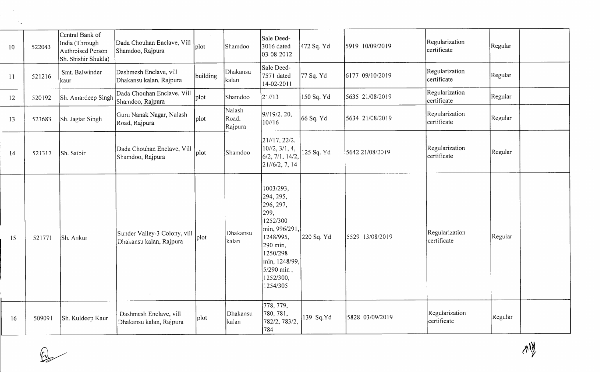| 10 | 522043 | Central Bank of<br>India (Through<br>Authroised Person<br>Sh. Shishir Shukla) | Dada Chouhan Enclave, Vill<br>Shamdoo, Rajpura          | plot     | Shamdoo                    | Sale Deed-<br>3016 dated<br>03-08-2012                                                                                                                                | 472 Sq. Yd | 5919 10/09/2019 | Regularization<br>certificate | Regular |
|----|--------|-------------------------------------------------------------------------------|---------------------------------------------------------|----------|----------------------------|-----------------------------------------------------------------------------------------------------------------------------------------------------------------------|------------|-----------------|-------------------------------|---------|
| 11 | 521216 | Smt. Balwinder<br>kaur                                                        | Dashmesh Enclave, vill<br>Dhakansu kalan, Rajpura       | building | Dhakansu<br>kalan          | Sale Deed-<br>7571 dated<br>14-02-2011                                                                                                                                | 77 Sq. Yd  | 6177 09/10/2019 | Regularization<br>certificate | Regular |
| 12 | 520192 | Sh. Amardeep Singh                                                            | Dada Chouhan Enclave, Vill<br>Shamdoo, Rajpura          | plot     | Shamdoo                    | 21/13                                                                                                                                                                 | 150 Sq. Yd | 5635 21/08/2019 | Regularization<br>certificate | Regular |
| 13 | 523683 | Sh. Jagtar Singh                                                              | Guru Nanak Nagar, Nalash<br>Road, Rajpura               | plot     | Nalash<br>Road,<br>Rajpura | 9//19/2, 20,<br>10/16                                                                                                                                                 | 66 Sq. Yd  | 5634 21/08/2019 | Regularization<br>certificate | Regular |
| 14 | 521317 | Sh. Satbir                                                                    | Dada Chouhan Enclave, Vill<br>Shamdoo, Rajpura          | plot     | Shamdoo                    | 21//17, 22/2,<br>$10^{1/2}$ , 3/1, 4,<br>6/2, 7/1, 14/2,<br>21/6/2, 7, 14                                                                                             | 125 Sq. Yd | 5642 21/08/2019 | Regularization<br>certificate | Regular |
| 15 | 521771 | Sh. Ankur                                                                     | Sunder Valley-3 Colony, vill<br>Dhakansu kalan, Rajpura | plot     | Dhakansu<br>kalan          | 1003/293,<br>294, 295,<br>296, 297,<br>299,<br>1252/300<br>min, 996/291.<br>1248/995,<br>290 min,<br>1250/298<br>min, 1248/99,<br>5/290 min,<br>1252/300,<br>1254/305 | 220 Sq. Yd | 5529 13/08/2019 | Regularization<br>certificate | Regular |
| 16 | 509091 | Sh. Kuldeep Kaur                                                              | Dashmesh Enclave, vill<br>Dhakansu kalan, Rajpura       | plot     | Dhakansu<br>kalan          | 778, 779,<br>780, 781,<br>782/2, 783/2,<br>784                                                                                                                        | 139 Sq.Yd  | 5828 03/09/2019 | Regularization<br>certificate | Regular |

 $Q$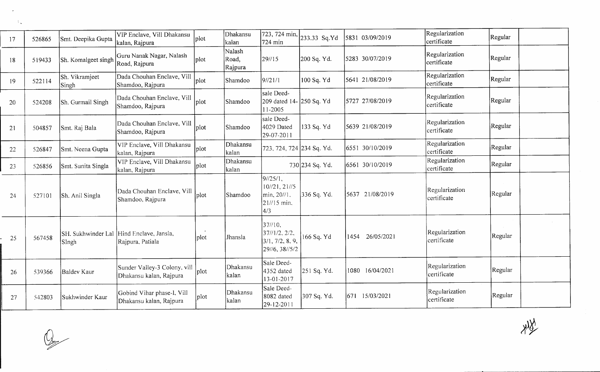| 17     | 526865 | Smt. Deepika Gupta      | VIP Enclave, Vill Dhakansu<br>kalan, Rajpura                 | plot              | Dhakansu<br>kalan          | 723, 724 min,<br>724 min                                     | 233.33 Sq.Yd    | 5831 03/09/2019    | Regularization<br>certificate | Regular |  |
|--------|--------|-------------------------|--------------------------------------------------------------|-------------------|----------------------------|--------------------------------------------------------------|-----------------|--------------------|-------------------------------|---------|--|
| 18     | 519433 | Sh. Komalgeet singh     | Guru Nanak Nagar, Nalash<br>Road, Rajpura                    | plot              | Nalash<br>Road,<br>Rajpura | 29//15                                                       | 200 Sq. Yd.     | 5283 30/07/2019    | Regularization<br>certificate | Regular |  |
| 19     | 522114 | Sh. Vikramjeet<br>Singh | Dada Chouhan Enclave, Vill<br>Shamdoo, Rajpura               | plot              | Shamdoo                    | 9/21/1                                                       | 100 Sq. Yd      | 5641 21/08/2019    | Regularization<br>certificate | Regular |  |
| $20\,$ | 524208 | Sh. Gurmail Singh       | Dada Chouhan Enclave, Vill<br>Shamdoo, Rajpura               | plot              | Shamdoo                    | sale Deed-<br>209 dated 14- 250 Sq. Yd<br>11-2005            |                 | 5727 27/08/2019    | Regularization<br>certificate | Regular |  |
| 21     | 504857 | Smt. Raj Bala           | Dada Chouhan Enclave, Vill<br>Shamdoo, Rajpura               | plot              | Shamdoo                    | sale Deed-<br>4029 Dated<br>29-07-2011                       | 133 Sq. Yd      | 5639 21/08/2019    | Regularization<br>certificate | Regular |  |
| 22     | 526847 | Smt. Neena Gupta        | VIP Enclave, Vill Dhakansu<br>kalan, Rajpura                 | plot              | Dhakansu<br>kalan          | 723, 724, 724 234 Sq. Yd.                                    |                 | 6551 30/10/2019    | Regularization<br>certificate | Regular |  |
| 23     | 526856 | Smt. Sunita Singla      | VIP Enclave, Vill Dhakansu<br>kalan, Rajpura                 | plot              | Dhakansu<br>kalan          |                                                              | 730 234 Sq. Yd. | 6561 30/10/2019    | Regularization<br>certificate | Regular |  |
| 24     | 527101 | Sh. Anil Singla         | Dada Chouhan Enclave, Vill<br>Shamdoo, Rajpura               | plot              | Shamdoo                    | 9/25/1,<br>10/21, 21/5<br>min, 20//1,<br>21//15 min.<br>4/3  | 336 Sq. Yd.     | 5637 21/08/2019    | Regularization<br>certificate | Regular |  |
| 25     | 567458 | Singh                   | SH. Sukhwinder Lal Hind Enclave, Jansla,<br>Rajpura, Patiala | plot              | Jhansla                    | 37//10.<br>37/1/2, 2/2,<br>3/1, 7/2, 8, 9,<br>29//6, 38//5/2 | 166 Sq. Yd      | 26/05/2021<br>1454 | Regularization<br>certificate | Regular |  |
| 26     | 539366 | Baldev Kaur             | Sunder Valley-3 Colony, vill<br>Dhakansu kalan, Rajpura      | $ _{\text{plot}}$ | Dhakansu<br>kalan          | Sale Deed-<br>4352 dated<br>13-01-2017                       | 251 Sq. Yd.     | 1080 16/04/2021    | Regularization<br>certificate | Regular |  |
| 27     | 542803 | Sukhwinder Kaur         | Gobind Vihar phase-I, Vill<br>Dhakansu kalan, Rajpura        | plot              | Dhakansu<br>kalan          | Sale Deed-<br>8082 dated<br>29-12-2011                       | 307 Sq. Yd.     | 671<br>15/03/2021  | Regularization<br>certificate | Regular |  |

 $Q$ 

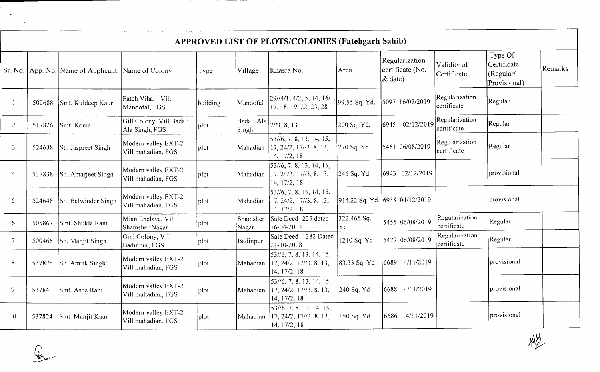|                | APPROVED LIST OF PLOTS/COLONIES (Fatehgarh Sahib) |                                                   |                                            |          |                       |                                                                                                                                   |                    |                                                  |                               |                                                     |         |  |  |  |
|----------------|---------------------------------------------------|---------------------------------------------------|--------------------------------------------|----------|-----------------------|-----------------------------------------------------------------------------------------------------------------------------------|--------------------|--------------------------------------------------|-------------------------------|-----------------------------------------------------|---------|--|--|--|
|                |                                                   | Sr. No. App. No. Name of Applicant Name of Colony |                                            | Type     | Village               | Khasra No.                                                                                                                        | Area               | Regularization<br>certificate (No.<br>$\&$ date) | Validity of<br>Certificate    | Type Of<br>Certificate<br>(Regular/<br>Provisional) | Remarks |  |  |  |
|                | 502688                                            | Smt. Kuldeep Kaur                                 | Fateh Vihar Vill<br>Mandofal, FGS          | building | Mandofal              | 29//4/1, 4/2, 5, 14, 16/1, 99.55 Sq. Yd.<br>17, 18, 19, 22, 23, 28                                                                |                    | 5097 16/07/2019                                  | Regularization<br>certificate | Regular                                             |         |  |  |  |
| 2              | 517826                                            | Smt. Komal                                        | Gill Colony, Vill Badali<br>Ala Singh, FGS | plot     | Badali Ala  <br>Singh | 7/13, 8, 13                                                                                                                       | 200 Sq. Yd.        | 6945 02/12/2019                                  | Regularization<br>certificate | Regular                                             |         |  |  |  |
| $\overline{3}$ | 524638                                            | Sh. Jaspreet Singh                                | Modern valley EXT-2<br>Vill mahadian, FGS  | plot     | Mahadian              | 53//6, 7, 8, 13, 14, 15,<br>17, 24/2, 17//3, 8, 13,<br>14, 17/2, 18                                                               | 270 Sq. Yd.        | 5461 06/08/2019                                  | Regularization<br>certificate | Regular                                             |         |  |  |  |
| $\overline{4}$ | 537838                                            | Sh. Amarjeet Singh                                | Modern valley EXT-2<br>Vill mahadian, FGS  | plot     | Mahadian              | [53//6, 7, 8, 13, 14, 15,<br>17, 24/2, 17//3, 8, 13,<br>14, 17/2, 18                                                              | 246 Sq. Yd.        | 6943 02/12/2019                                  |                               | provisional                                         |         |  |  |  |
| $\overline{5}$ | 524648                                            | Sh. Balwinder Singh                               | Modern valley EXT-2<br>Vill mahadian, FGS  | plot     | Mahadian              | 53//6, 7, 8, 13, 14, 15,<br>$\left[17, 24/2, 17\right]/3, 8, 13, \right.$<br>14, 17/2, 18                                         |                    | 914.22 Sq. Yd. 6958 04/12/2019                   |                               | provisional                                         |         |  |  |  |
| 6              | 505867                                            | Smt. Shukla Rani                                  | Mian Enclave, Vill<br>Shamsher Nagar       | plot     | Shamsher<br>Nagar     | Sale Deed-225 dated<br>16-04-2013                                                                                                 | 322.465 Sq.<br> Yd | 5455 06/08/2019                                  | Regularization<br>certificate | Regular                                             |         |  |  |  |
| $\overline{7}$ | 500466                                            | Sh. Manjit Singh                                  | Omi Colony, Vill<br>Badinpur, FGS          | plot     | Badinpur              | Sale Deed-1382 Dated<br>21-10-2008                                                                                                | 1210 Sq. Yd.       | 5472 06/08/2019                                  | Regularization<br>certificate | Regular                                             |         |  |  |  |
| 8              | 537825                                            | Sh. Amrik Singh                                   | Modern valley EXT-2<br>Vill mahadian, FGS  | plot     | Mahadian              | 53//6, 7, 8, 13, 14, 15,<br>17, 24/2, 17/3, 8, 13,<br>14, 17/2, 18                                                                | 83.33 Sq. Yd.      | 6689 14/11/2019                                  |                               | provisional                                         |         |  |  |  |
| 9              | 537841                                            | Smt. Asha Rani                                    | Modern valley EXT-2<br>Vill mahadian, FGS  | plot     | Mahadian              | $\left  \frac{53}{16}, \frac{7}{8}, \frac{8}{13}, \frac{14}{15} \right $<br>$\left[17, 24/2, 17\right]/3, 8, 13,$<br>14, 17/2, 18 | 240 Sq. Yd         | 6688 14/11/2019                                  |                               | provisional                                         |         |  |  |  |
| 10             | 537824                                            | Smt. Manjit Kaur                                  | Modern valley EXT-2<br>Vill mahadian, FGS  | plot     | Mahadian              | 53//6, 7, 8, 13, 14, 15,<br>17, 24/2, 17/3, 8, 13,<br>14, 17/2, 18                                                                | 150 Sq. Yd.        | 6686 14/11/2019                                  |                               | provisional                                         |         |  |  |  |

 $\bullet$ 

 $\bigoplus$ 

 $x\frac{1}{2}$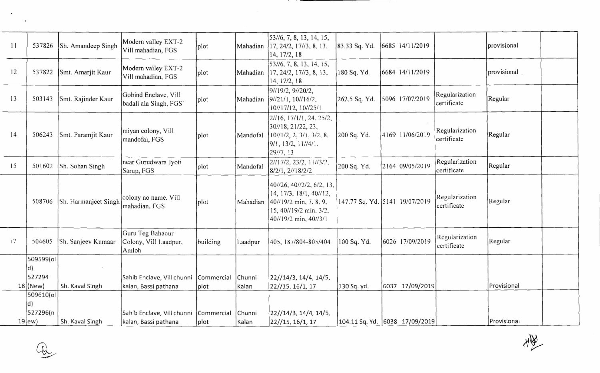| $\overline{11}$ | 537826          | Sh. Amandeep Singh   | Modern valley EXT-2<br>Vill mahadian, FGS          | plot                | Mahadian        | 53//6, 7, 8, 13, 14, 15,<br>17, 24/2, 17//3, 8, 13,<br>14, 17/2, 18                                                               | 83.33 Sq. Yd. | 6685 14/11/2019                 |                               | provisional |  |
|-----------------|-----------------|----------------------|----------------------------------------------------|---------------------|-----------------|-----------------------------------------------------------------------------------------------------------------------------------|---------------|---------------------------------|-------------------------------|-------------|--|
| 12              | 537822          | Smt. Amarjit Kaur    | Modern valley EXT-2<br>Vill mahadian, FGS          | plot                | Mahadian        | [53/6, 7, 8, 13, 14, 15,<br>17, 24/2, 17//3, 8, 13,<br>14, 17/2, 18                                                               | 180 Sq. Yd.   | 6684 14/11/2019                 |                               | provisional |  |
| 13              | 503143          | Smt. Rajinder Kaur   | Gobind Enclave, Vill<br>badali ala Singh, FGS'     | plot                | Mahadian        | 91/19/2, 91/20/2,<br>9/21/1, 10/16/2,<br>10//17/12, 10//25/1                                                                      | 262.5 Sq. Yd. | 5096 17/07/2019                 | Regularization<br>certificate | Regular     |  |
| 14              | 506243          | Smt. Paramjit Kaur   | miyan colony, Vill<br>mandofal, FGS                | plot                | Mandofal        | $21/16$ , $17/1/1$ , 24, 25/2,<br>30/18, 21/22, 23,<br>10//1/2, 2, 3/1, 3/2, 8,<br>9/1, 13/2, 11/14/1.<br>29/7, 13                | 200 Sq. Yd.   | 4169 11/06/2019                 | Regularization<br>certificate | Regular     |  |
| 15              | 501602          | Sh. Sohan Singh      | near Gurudwara Jyoti<br>Sarup, FGS                 | plot                | Mandofal        | $2/17/2$ , 23/2, 11//3/2,<br>8/2/1, 2//18/2/2                                                                                     | 200 Sq. Yd.   | 2164 09/05/2019                 | Regularization<br>certificate | Regular     |  |
|                 | 508706          | Sh. Harmanjeet Singh | colony no name, Vill<br>mahadian, FGS              | plot                | Mahadian        | 40//26, 40//2/2, 6/2, 13,<br>14, 17/3, 18/1, 40//12,<br>40//19/2 min, 7, 8, 9,<br>15, 40//19/2 min, 3/2,<br>40//19/2 min, 40//3/1 |               | 147.77 Sq. Yd. 5141 19/07/2019  | Regularization<br>certificate | Regular     |  |
| 17              | 504605          | Sh. Sanjeev Kumaar   | Guru Teg Bahadur<br>Colony, Vill Laadpur,<br>Amloh | building            | Laadpur         | 405, 187/804-805/404                                                                                                              | 100 Sq. Yd.   | 6026 17/09/2019                 | Regularization<br>certificate | Regular     |  |
|                 | 509599(ol       |                      |                                                    |                     |                 |                                                                                                                                   |               |                                 |                               |             |  |
|                 | d)<br>527294    |                      |                                                    |                     |                 |                                                                                                                                   |               |                                 |                               |             |  |
|                 | $18$ (New)      | Sh. Kaval Singh      | Sahib Enclave, Vill chunni<br>kalan, Bassi pathana | Commercial<br> plot | Chunni<br>Kalan | 22//14/3, 14/4, 14/5,<br>[22//15, 16/1, 17]                                                                                       | 130 Sq. yd.   | 6037 17/09/2019                 |                               | Provisional |  |
|                 | 509610(ol<br>d) |                      |                                                    |                     |                 |                                                                                                                                   |               |                                 |                               |             |  |
|                 | 527296(n        |                      | Sahib Enclave, Vill chunni Commercial              |                     | Chunni          | 22//14/3, 14/4, 14/5,                                                                                                             |               |                                 |                               |             |  |
|                 | $19$ ew)        | Sh. Kaval Singh      | kalan, Bassi pathana                               | plot                | Kalan           | 22//15, 16/1, 17                                                                                                                  |               | 104.11 Sq. Yd.  6038 17/09/2019 |                               | Provisional |  |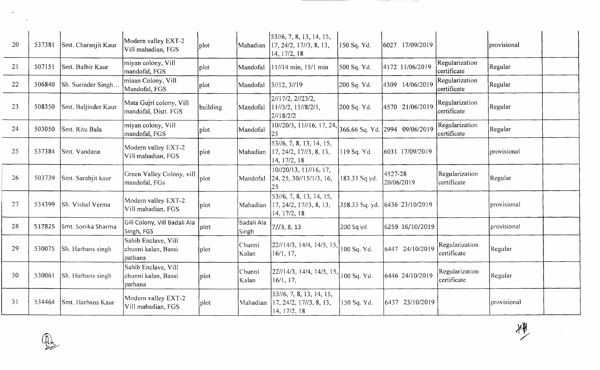| 20 | 537381 | Smt. Charanjit Kaur | Modern valley EXT-2<br>Vill mahadian, FGS             | plot     | Mahadian            | 53//6, 7, 8, 13, 14, 15,<br>17, 24/2, 17//3, 8, 13,<br>14, 17/2, 18                                | 150 Sq. Yd.   | 6027 17/09/2019                  |                               | provisional |  |
|----|--------|---------------------|-------------------------------------------------------|----------|---------------------|----------------------------------------------------------------------------------------------------|---------------|----------------------------------|-------------------------------|-------------|--|
| 21 | 507151 | Smt. Balbir Kaur    | miyan colony, Vill<br>mandofal, FGS                   | plot     | Mandofal            | 11//14 min, 15/1 min                                                                               | 500 Sq. Yd.   | 4172 11/06/2019                  | Regularization<br>certificate | Regular     |  |
| 22 | 506840 | Sh. Surinder Singh  | miaan Colony, Vill<br>Mandofal, FGS                   | plot     | Mandofal            | 3/12, 3/19                                                                                         | 200 Sq. Yd.   | 4309 14/06/2019                  | Regularization<br>certificate | Regular     |  |
| 23 | 508350 | Smt. Baljinder Kaur | Mata Gujri colony, Vill<br>mandofal, Distt. FGS       | building | Mandofal            | 2//17/2, 2//23/2,<br>11/73/2, 11/78/2/1,<br>2/18/2/2                                               | 200 Sq. Yd.   | 4570 21/06/2019                  | Regularization<br>certificate | Regular     |  |
| 24 | 503050 | Smt. Ritu Bala      | miyan colony, Vill<br>mandofal, FGS                   | plot     | Mandofal            | 10//20/3, 11//16, 17, 24,<br>25                                                                    |               | 366.66 Sq. Yd. 2994 09/06/2019   | Regularization<br>certificate | Regular     |  |
| 25 | 537384 | Smt. Vandana        | Modern valley EXT-2<br>Vill mahadian, FGS             | plot     | Mahadian            | 53//6, 7, 8, 13, 14, 15,<br>17, 24/2, 17//3, 8, 13,<br>14, 17/2, 18                                | [119 Sq. Yd.  | 6031 17/09/2019                  |                               | provisional |  |
| 26 | 503739 | Smt. Sarabjit kaur  | Green Valley Colony, vill<br>mandofal, FGs            | plot     | Mandofal            | $10\frac{1}{20}$ /13, 11//16, 17,<br>$\left[24, 25, 30\frac{\text{15}}{\text{13}}, 16, \right]$    | 183.33 Sq yd. | 4527-28<br>20/06/2019            | Regularization<br>certificate | Regular     |  |
| 27 | 534399 | Sh. Vishal Verma    | Modern valley EXT-2<br>Vill mahadian, FGS             | plot     | Mahadian            | 53//6, 7, 8, 13, 14, 15,<br>17, 24/2, 17//3, 8, 13,<br>14, 17/2, 18                                |               | 358.33 Sq. yd. (6436 23/10/2019) |                               | provisional |  |
| 28 | 517825 | Smt. Sonika Sharma  | Gill Colony, Vill Badali Ala<br>Singh, FGS            | plot     | Badali Ala<br>Singh | 7/3, 8, 13                                                                                         | 200 Sq yd.    | 6259 16/10/2019                  |                               | provisional |  |
| 29 | 530075 | Sh. Harbans singh   | Sahib Enclave, Vill<br>chunni kalan, Bassi<br>pathana | plot     | Chunni<br>Kalan     | $\left  \frac{22}{14}{3}, \frac{14}{4}, \frac{14}{5}, \frac{15}{100} \right $ Sq. Yd.<br>16/1, 17, |               | 6447 24/10/2019                  | Regularization<br>certificate | Regular     |  |
| 30 | 530061 | Sh. Harbans singh   | Sahib Enclave, Vill<br>chunni kalan, Bassi<br>pathana | plot     | Chunni<br>Kalan     | 22//14/3, 14/4, 14/5, 15,<br>16/1, 17,                                                             | 100 Sq. Yd.   | 6446 24/10/2019                  | Regularization<br>certificate | Regular     |  |
| 31 | 534464 | Smt. Harbans Kaur   | Modern valley EXT-2<br>Vill mahadian, FGS             | plot     | Mahadian            | 53//6, 7, 8, 13, 14, 15,<br>17, 24/2, 17//3, 8, 13,<br>14, 17/2, 18                                | 150 Sq. Yd.   | 6437 23/10/2019                  |                               | provisional |  |



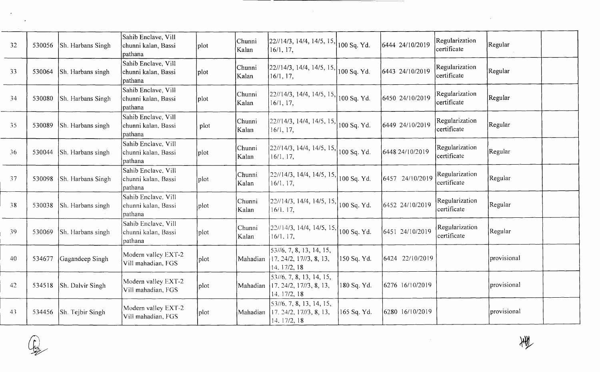| 32  | 530056 | Sh. Harbans Singh | Sahib Enclave, Vill<br>chunni kalan, Bassi<br>pathana  | plot | Chunni<br>Kalan  | 22//14/3, 14/4, 14/5, 15,<br>16/1, 17,                                                                              | 100 Sq. Yd. | 6444 24/10/2019 | Regularization<br>certificate | Regular           |
|-----|--------|-------------------|--------------------------------------------------------|------|------------------|---------------------------------------------------------------------------------------------------------------------|-------------|-----------------|-------------------------------|-------------------|
| 33  | 530064 | Sh. Harbans singh | Sahib Enclave, Vill<br>chunni kalan, Bassi<br>pathana  | plot | Chunni<br>Kalan  | [22//14/3, 14/4, 14/5, 15.]<br>16/1, 17,                                                                            | 100 Sq. Yd. | 6443 24/10/2019 | Regularization<br>certificate | Regular           |
| 34  | 530080 | Sh. Harbans Singh | Sahib Enclave, Vill<br>chunni kalan, Bassi<br>pathana  | plot | Chunni<br>Kalan  | $\left[ \frac{22}{14/3}, \frac{14}{4}, \frac{14}{5}, \frac{15}{15} \right]$<br>16/1, 17,                            | 100 Sq. Yd. | 6450 24/10/2019 | Regularization<br>certificate | Regular           |
| 35  | 530089 | Sh. Harbans singh | Sahib Enclave, Vill<br>chunni kalan, Bassi<br>pathana  | plot | Chunni<br>Kalan  | [22//14/3, 14/4, 14/5, 15,<br>16/1, 17,                                                                             | 100 Sq. Yd. | 6449 24/10/2019 | Regularization<br>certificate | Regular           |
| 36  | 530044 | Sh. Harbans singh | Sahib Enclave, Vill<br>chunni kalan, Bassi<br>pathana  | plot | Chunni <br>Kalan | $\left[ \frac{22}{14/3}, \frac{14}{4}, \frac{14}{5}, \frac{15}{15} \right]$<br>16/1, 17,                            | 100 Sq. Yd. | 6448 24/10/2019 | Regularization<br>certificate | Regular           |
| 37  | 530098 | Sh. Harbans Singh | Sahib Enclave, Vill<br>chunni kalan, Bassi<br> pathana | plot | Chunni<br>Kalan  | 22//14/3, 14/4, 14/5, 15, 100 Sq. Yd.<br>16/1, 17,                                                                  |             | 6457 24/10/2019 | Regularization<br>certificate | Regular           |
| 38  | 530038 | Sh. Harbans singh | Sahib Enclave, Vill<br>chunni kalan, Bassi<br>pathana  | plot | Chunni<br>Kalan  | $\left  \frac{22}{14/3}, \frac{14}{4}, \frac{14}{5}, \frac{15}{15} \right $<br>16/1, 17,                            | 100 Sq. Yd. | 6452 24/10/2019 | Regularization<br>certificate | Regular           |
| -39 | 530069 | Sh. Harbans singh | Sahib Enclave, Vill<br>chunni kalan, Bassi<br>pathana  | plot | Chunni<br>Kalan  | 22//14/3, 14/4, 14/5, 15,<br>16/1, 17,                                                                              | 100 Sq. Yd. | 6451 24/10/2019 | Regularization<br>certificate | Regular           |
| 40  | 534677 | Gagandeep Singh   | Modern valley EXT-2<br>Vill mahadian, FGS              | plot | Mahadian         | 53//6, 7, 8, 13, 14, 15,<br>17. 24/2, 17//3, 8, 13,<br>14, 17/2, 18                                                 | 150 Sq. Yd. | 6424 22/10/2019 |                               | provisional       |
| 42  | 534518 | Sh. Dalvir Singh  | Modern valley EXT-2<br>Vill mahadian, FGS              | plot | Mahadian         | 53//6, 7, 8, 13, 14, 15,<br>17, 24/2, 17//3, 8, 13,<br>14, 17/2, 18                                                 | 180 Sq. Yd. | 6276 16/10/2019 |                               | provisional       |
| 43  | 534456 | Sh. Tejbir Singh  | Modern valley EXT-2<br>Vill mahadian, FGS              | plot | Mahadian         | $\left  \frac{53}{16}, \frac{7}{8}, \frac{8}{13}, \frac{14}{15} \right $<br>17. 24/2, 17//3, 8, 13,<br>14, 17/2, 18 | 165 Sq. Yd. | 6280 16/10/2019 |                               | <i>rovisional</i> |

 $\sim$ 



 $\sim$ 

 $\sim 10^6$ 

 $\sim 10^{-1}$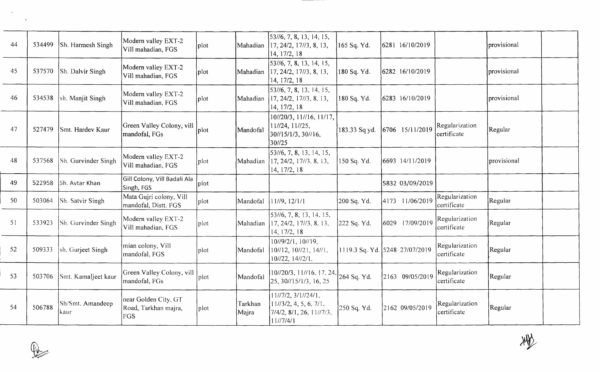| 44 | 534499 | Sh. Harmesh Singh        | Modern valley EXT-2<br>Vill mahadian, FGS                  | plot |                  | 53//6, 7, 8, 13, 14, 15,<br>Mahadian 117, 24/2, 17//3, 8, 13,<br>14, 17/2, 18         | 165 Sq. Yd.   | 6281 16/10/2019                |                               | provisional |
|----|--------|--------------------------|------------------------------------------------------------|------|------------------|---------------------------------------------------------------------------------------|---------------|--------------------------------|-------------------------------|-------------|
| 45 | 537570 | Sh. Dalvir Singh         | Modern valley EXT-2<br>Vill mahadian, FGS                  | plot | Mahadian         | 53//6, 7, 8, 13, 14, 15,<br>$\left[17, 24/2, 17\right]/3, 8, 13,$<br>14, 17/2, 18     | 180 Sq. Yd.   | 6282 16/10/2019                |                               | provisional |
| 46 | 534538 | sh. Manjit Singh         | Modern valley EXT-2<br>Vill mahadian, FGS                  | plot | Mahadian         | 53//6, 7, 8, 13, 14, 15,<br>17, 24/2, 17//3, 8, 13,<br>14, 17/2, 18                   | 180 Sq. Yd.   | 6283 16/10/2019                |                               | provisional |
| 47 | 527479 | Smt. Hardev Kaur         | Green Valley Colony, vill<br>mandofal, FGs                 | plot | Mandofal         | 10//20/3, 11//16, 11/17,<br>11//24, 11//25,<br>30//15/1/3, 30//16,<br>30//25          | 183.33 Sq yd. | 6706 15/11/2019                | Regularization<br>certificate | Regular     |
| 48 | 537568 | Sh. Gurvinder Singh      | Modern valley EXT-2<br>Vill mahadian, FGS                  | plot | Mahadian         | 53//6, 7, 8, 13, 14, 15,<br>17, 24/2, 17//3, 8, 13,<br>14, 17/2, 18                   | 150 Sq. Yd.   | 6693 14/11/2019                |                               | provisional |
| 49 | 522958 | Sh. Avtar Khan           | Gill Colony, Vill Badali Ala<br>Singh, FGS                 | plot |                  |                                                                                       |               | 5832 03/09/2019                |                               |             |
| 50 | 503064 | Sh. Satvir Singh         | Mata Gujri colony, Vill<br>mandofal, Distt. FGS            | plot | Mandofal         | 11/9, 12/1/1                                                                          | 200 Sq. Yd.   | 4173 11/06/2019                | Regularization<br>certificate | Regular     |
| 51 | 533923 | Sh. Gurvinder Singh      | Modern valley EXT-2<br>Vill mahadian, FGS                  | plot | Mahadian         | 53//6, 7, 8, 13, 14, 15,<br>17, 24/2, 17//3, 8, 13,<br>14, 17/2, 18                   | 222 Sq. Yd.   | 6029 17/09/2019                | Regularization<br>certificate | Regular     |
| 52 | 509333 | sh. Gurjeet Singh        | mian colony, Vill<br>mandofal, FGS                         | plot | Mandofal         | 10//9/2/1, 10//19,<br>10//12, 10//21, 14//1,<br>10//22, 14//2/1.                      |               | 1119.3 Sq. Yd. 5248 27/07/2019 | Regularization<br>certificate | Regular     |
| 53 | 503706 | Smt. Kamaljeet kaur      | Green Valley Colony, vill<br>mandofal, FGs                 | plot | Mandofal         | 10//20/3, 11//16, 17, 24,<br>25, 30//15/1/3, 16, 25                                   | 264 Sq. Yd.   | 2163 09/05/2019                | Regularization<br>certificate | Regular     |
| 54 | 506788 | Sh/Smt. Amandeep<br>kaur | near Golden City, GT<br>Road, Tarkhan majra,<br><b>FGS</b> | plot | Tarkhan<br>Majra | 11/7/2, 3/1/724/1,<br>11/73/2, 4, 5, 6, 7/1.<br>[7/4/2, 8/1, 26, 11/7/3,<br>11/77/4/1 | 250 Sq. Yd.   | 2162 09/05/2019                | Regularization<br>certificate | Regular     |

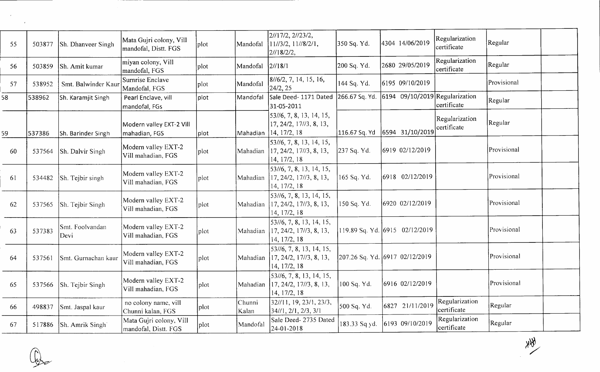| 55 | 503877 | Sh. Dhanveer Singh      | Mata Gujri colony, Vill<br>mandofal, Distt. FGS | plot | Mandofal        | 2//17/2, 2//23/2,<br>$11/73/2$ , $11/78/2/1$ ,<br>21/18/2/2,                                                      | 350 Sq. Yd.    | 4304 14/06/2019                                         | Regularization<br>certificate | Regular     |
|----|--------|-------------------------|-------------------------------------------------|------|-----------------|-------------------------------------------------------------------------------------------------------------------|----------------|---------------------------------------------------------|-------------------------------|-------------|
| 56 | 503859 | Sh. Amit kumar          | miyan colony, Vill<br>mandofal, FGS             | plot | Mandofal        | 2/18/1                                                                                                            | 200 Sq. Yd.    | 2680 29/05/2019                                         | Regularization<br>certificate | Regular     |
| 57 | 538952 | Smt. Balwinder Kaur     | Surnrise Enclave<br>Mandofal, FGS               | plot | Mandofal        | 8//6/2, 7, 14, 15, 16,<br>24/2, 25                                                                                | 144 Sq. Yd.    | 6195 09/10/2019                                         |                               | Provisional |
| 58 | 538962 | Sh. Karamjit Singh      | Pearl Enclave, vill<br>mandofal, FGs            | plot | Mandofal        | Sale Deed- 1171 Dated<br>31-05-2011                                                                               | 266.67 Sq. Yd. | $\left  6194 \right  09/10/2019 \right $ Regularization | certificate                   | Regular     |
| 59 | 537386 | Sh. Barinder Singh      | Modern valley EXT-2 Vill<br>mahadian, FGS       | plot | Mahadian        | 53//6, 7, 8, 13, 14, 15,<br>17, 24/2, 17//3, 8, 13,<br>14, 17/2, 18                                               | 116.67 Sq. Yd  | 6594 31/10/2019                                         | Regularization<br>certificate | Regular     |
| 60 | 537564 | Sh. Dalvir Singh        | Modern valley EXT-2<br>Vill mahadian, FGS       | plot | Mahadian        | 53//6, 7, 8, 13, 14, 15,<br>17, 24/2, 17//3, 8, 13,<br>14, 17/2, 18                                               | 237 Sq. Yd.    | 6919 02/12/2019                                         |                               | Provisional |
| 61 | 534482 | Sh. Tejbir singh        | Modern valley EXT-2<br>Vill mahadian, FGS       | plot | Mahadian        | 53//6, 7, 8, 13, 14, 15,<br>17, 24/2, 17//3, 8, 13,<br>14, 17/2, 18                                               | 165 Sq. Yd.    | 6918 02/12/2019                                         |                               | Provisional |
| 62 | 537565 | Sh. Tejbir Singh        | Modern valley EXT-2<br>Vill mahadian, FGS       | plot | Mahadian        | 53//6, 7, 8, 13, 14, 15,<br>17, 24/2, 17//3, 8, 13,<br>14, 17/2, 18                                               | 150 Sq. Yd.    | 6920 02/12/2019                                         |                               | Provisional |
| 63 | 537383 | Smt. Foolvandan<br>Devi | Modern valley EXT-2<br>Vill mahadian, FGS       | plot | Mahadian        | 53//6, 7, 8, 13, 14, 15,<br>17, 24/2, 17//3, 8, 13,<br>14, 17/2, 18                                               |                | 119.89 Sq. Yd. 6915 02/12/2019                          |                               | Provisional |
| 64 | 537561 | Smt. Gurnachan kaur     | Modern valley EXT-2<br>Vill mahadian, FGS       | plot | Mahadian        | $\left  \frac{53}{16}, 7, 8, 13, 14, 15, \right\rangle$<br>$\left[17, 24/2, 17/3, 8, 13, \right]$<br>14, 17/2, 18 |                | 207.26 Sq. Yd. 6917 02/12/2019                          |                               | Provisional |
| 65 | 537566 | Sh. Tejbir Singh        | Modern valley EXT-2<br>Vill mahadian, FGS       | plot | Mahadian        | 53//6, 7, 8, 13, 14, 15,<br>17, 24/2, 17//3, 8, 13,<br>14, 17/2, 18                                               | 100 Sq. Yd.    | 6916 02/12/2019                                         |                               | Provisional |
| 66 | 498837 | Smt. Jaspal kaur        | no colony name, vill<br>Chunni kalan, FGS       | plot | Chunni<br>Kalan | 32//11, 19, 23/1, 23/3,<br>34//1, 2/1, 2/3, 3/1                                                                   | 500 Sq. Yd.    | 6827 21/11/2019                                         | Regularization<br>certificate | Regular     |
| 67 |        | 517886 Sh. Amrik Singh  | Mata Gujri colony, Vill<br>mandofal, Distt. FGS | plot | Mandofal        | Sale Deed- 2735 Dated<br>24-01-2018                                                                               | 183.33 Sq yd.  | 6193 09/10/2019                                         | Regularization<br>certificate | Regular     |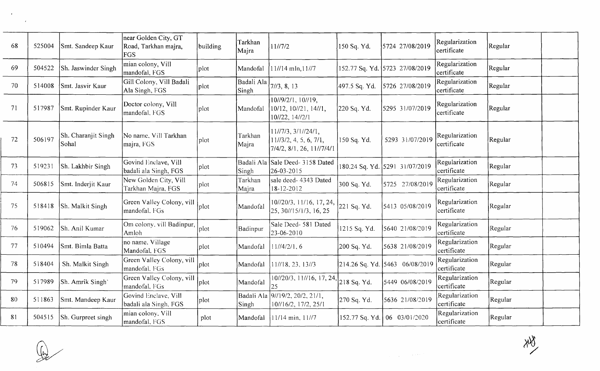| 68 | 525004 | Smt. Sandeep Kaur            | near Golden City, GT<br>Road, Tarkhan majra,<br>FGS | building | Tarkhan<br>Majra    | 11//7/2                                                                    | 150 Sq. Yd.   | 5724 27/08/2019                  | Regularization<br>certificate | Regular |  |
|----|--------|------------------------------|-----------------------------------------------------|----------|---------------------|----------------------------------------------------------------------------|---------------|----------------------------------|-------------------------------|---------|--|
| 69 | 504522 | Sh. Jaswinder Singh          | mian colony, Vill<br>mandofal, FGS                  | plot     | Mandofal            | 11//14 mln, 11//7                                                          |               | 152.77 Sq. Yd. 5723 27/08/2019   | Regularization<br>certificate | Regular |  |
| 70 | 514008 | Smt. Jasvir Kaur             | Gill Colony, Vill Badali<br>Ala Singh, FGS          | plot     | Badali Ala<br>Singh | 7/73, 8, 13                                                                | 497.5 Sq. Yd. | 5726 27/08/2019                  | Regularization<br>certificate | Regular |  |
| 71 | 517987 | Smt. Rupinder Kaur           | Doctor colony, Vill<br>mandofal, FGS                | plot     | Mandofal            | 10//9/2/1, 10//19,<br>10/12, 10//21, 14//1,<br>10//22, 14//2/1             | 220 Sq. Yd.   | 5295 31/07/2019                  | Regularization<br>certificate | Regular |  |
| 72 | 506197 | Sh. Charanjit Singh<br>Sohal | No name, Vill Tarkhan<br>majra, FGS                 | plot     | Tarkhan<br>Majra    | 11//7/3, 3/1//24/1,<br>11/73/2, 4, 5, 6, 7/1,<br>7/4/2, 8/1, 26, 11//7/4/1 | 150 Sq. Yd.   | 5293 31/07/2019                  | Regularization<br>certificate | Regular |  |
| 73 | 519231 | Sh. Lakhbir Singh            | Govind Enclave, Vill<br>badali ala Singh, FGS       | plot     | Badali Ala<br>Singh | Sale Deed- 3158 Dated<br>26-03-2015                                        |               | 180.24 Sq. Yd. 5291 31/07/2019   | Regularization<br>certificate | Regular |  |
| 74 | 506815 | Smt. Inderjit Kaur           | New Golden City, Vill<br>Tarkhan Majra, FGS         | plot     | Tarkhan<br>Majra    | sale deed- 4343 Dated<br>$18 - 12 - 2012$                                  | 300 Sq. Yd.   | 5725 27/08/2019                  | Regularization<br>certificate | Regular |  |
| 75 | 518418 | Sh. Malkit Singh             | Green Valley Colony, vill<br>mandofal, FGs          | plot     | Mandofal            | 10//20/3, 11/16, 17, 24,<br>25, 30//15/1/3, 16, 25                         | 221 Sq. Yd.   | 5413 05/08/2019                  | Regularization<br>certificate | Regular |  |
| 76 | 519062 | Sh. Anil Kumar               | Om colony, vill Badinpur,<br>Amloh                  | plot     | Badinpur            | Sale Deed-581 Dated<br>23-06-2010                                          | 1215 Sq. Yd.  | 5640 21/08/2019                  | Regularization<br>certificate | Regular |  |
| 77 | 510494 | Smt. Bimla Batta             | no name, Village<br>Mandofal, FGS                   | plot     | Mandofal            | 11/4/2/1, 6                                                                | 200 Sq. Yd.   | 5638 21/08/2019                  | Regularization<br>certificate | Regular |  |
| 78 | 518404 | Sh. Malkit Singh             | Green Valley Colony, vill<br>mandofal, FGs          | plot     | Mandofal            | 11//18, 23, 13//3                                                          |               | 214.26 Sq. Yd. 5463 06/08/2019   | Regularization<br>certificate | Regular |  |
| 79 | 517989 | Sh. Amrik Singh'             | Green Valley Colony, vill<br>mandofal, FGs          | plot     | Mandofal            | $\sqrt{10^{7}/20^{7}/3}$ , $11^{7}/16$ , 17, 24, $218$ Sq. Yd.<br>25       |               | 5449 06/08/2019                  | Regularization<br>certificate | Regular |  |
| 80 | 511863 | Smt. Mandeep Kaur            | Govind Enclave, Vill<br>badali ala Singh, FGS       | plot     | Badali Ala<br>Singh | 91/19/2, 20/2, 21/1,<br>10//16/2, 17/2, 25/1                               | 270 Sq. Yd.   | 5636 21/08/2019                  | Regularization<br>certificate | Regular |  |
| 81 | 504515 | Sh. Gurpreet singh           | mian colony, Vill<br>lmandofal. FGS                 | plot     | Mandofal            | $11/14$ min, $11/7$                                                        |               | 152.77 Sq. Yd.   06 = 03/01/2020 | Regularization<br>certificate | Regular |  |

 $\label{eq:2} \frac{1}{\sqrt{2}}\sum_{i=1}^n\frac{1}{\sqrt{2}}\sum_{i=1}^n\frac{1}{\sqrt{2}}\sum_{i=1}^n\frac{1}{\sqrt{2}}\sum_{i=1}^n\frac{1}{\sqrt{2}}\sum_{i=1}^n\frac{1}{\sqrt{2}}\sum_{i=1}^n\frac{1}{\sqrt{2}}\sum_{i=1}^n\frac{1}{\sqrt{2}}\sum_{i=1}^n\frac{1}{\sqrt{2}}\sum_{i=1}^n\frac{1}{\sqrt{2}}\sum_{i=1}^n\frac{1}{\sqrt{2}}\sum_{i=1}^n\frac{1$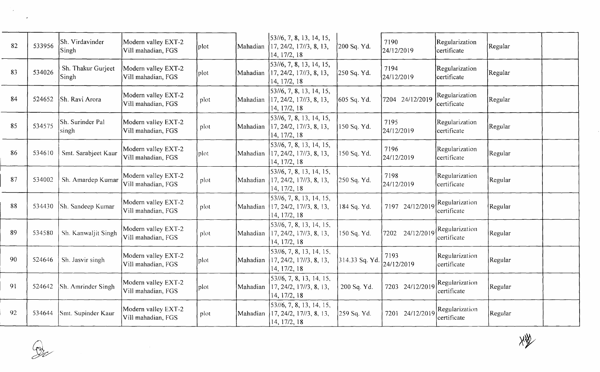| 82 | 533956 | Sh. Virdavinder<br><b>Singh</b> | Modern valley EXT-2<br>Vill mahadian, FGS | plot | Mahadian | $\left[53\frac{1}{6}, 7, 8, 13, 14, 15, \right]$<br>17, 24/2, 17//3, 8, 13,<br>14, 17/2, 18                         | 200 Sq. Yd.      | 7190<br>24/12/2019 | Regularization<br>certificate | Regular |  |
|----|--------|---------------------------------|-------------------------------------------|------|----------|---------------------------------------------------------------------------------------------------------------------|------------------|--------------------|-------------------------------|---------|--|
| 83 | 534026 | Sh. Thakur Gurjeet<br>Singh     | Modern valley EXT-2<br>Vill mahadian, FGS | plot | Mahadian | 53//6, 7, 8, 13, 14, 15,<br>17, 24/2, 17//3, 8, 13,<br>14, 17/2, 18                                                 | [250 Sq. Yd.     | 7194<br>24/12/2019 | Regularization<br>certificate | Regular |  |
| 84 | 524652 | Sh. Ravi Arora                  | Modern valley EXT-2<br>Vill mahadian, FGS | plot | Mahadian | 53//6, 7, 8, 13, 14, 15,<br>17, 24/2, 17//3, 8, 13,<br>14, 17/2, 18                                                 | 605 Sq. Yd.      | 7204 24/12/2019    | Regularization<br>certificate | Regular |  |
| 85 | 534575 | Sh. Surinder Pal<br>singh       | Modern valley EXT-2<br>Vill mahadian, FGS | plot | Mahadian | 53//6, 7, 8, 13, 14, 15,<br>17, 24/2, 17//3, 8, 13,<br>14, 17/2, 18                                                 | 150 Sq. Yd.      | 7195<br>24/12/2019 | Regularization<br>certificate | Regular |  |
| 86 | 534610 | Smt. Sarabjeet Kaur             | Modern valley EXT-2<br>Vill mahadian, FGS | plot | Mahadian | 53//6, 7, 8, 13, 14, 15,<br>17, 24/2, 17//3, 8, 13,<br>14, 17/2, 18                                                 | 150 Sq. Yd.      | 7196<br>24/12/2019 | Regularization<br>certificate | Regular |  |
| 87 | 534002 | Sh. Amardep Kumar               | Modern valley EXT-2<br>Vill mahadian, FGS | plot | Mahadian | 53//6, 7, 8, 13, 14, 15,<br>17, 24/2, 17//3, 8, 13,<br>14, 17/2, 18                                                 | 250 Sq. Yd.      | 7198<br>24/12/2019 | Regularization<br>certificate | Regular |  |
| 88 | 534430 | Sh. Sandeep Kumar               | Modern valley EXT-2<br>Vill mahadian, FGS | plot | Mahadian | 53//6, 7, 8, 13, 14, 15,<br>17, 24/2, 17//3, 8, 13,<br>14, 17/2, 18                                                 | 184 Sq. Yd.      | 7197 24/12/2019    | Regularization<br>certificate | Regular |  |
| 89 | 534580 | Sh. Kanwaljit Singh             | Modern valley EXT-2<br>Vill mahadian, FGS | plot | Mahadian | $53\frac{1}{6}$ , 7, 8, 13, 14, 15,<br>17, 24/2, 17//3, 8, 13,<br>14, 17/2, 18                                      | 150 Sq. Yd.      | 7202 24/12/2019    | Regularization<br>certificate | Regular |  |
| 90 | 524646 | Sh. Jasvir singh                | Modern valley EXT-2<br>Vill mahadian, FGS | plot | Mahadian | $\left  \frac{53}{16}, \frac{7}{8}, \frac{8}{13}, \frac{14}{15} \right $<br>17, 24/2, 17//3, 8, 13,<br>14, 17/2, 18 | $314.33$ Sq. Yd. | 7193<br>24/12/2019 | Regularization<br>certificate | Regular |  |
| 91 | 524642 | Sh. Amrinder Singh              | Modern valley EXT-2<br>Vill mahadian, FGS | plot | Mahadian | 53//6, 7, 8, 13, 14, 15,<br>17, 24/2, 17//3, 8, 13,<br>14, 17/2, 18                                                 | 200 Sq. Yd.      | 7203 24/12/2019    | Regularization<br>certificate | Regular |  |
| 92 | 534644 | Smt. Supinder Kaur              | Modern valley EXT-2<br>Vill mahadian, FGS | plot | Mahadian | [53/6, 7, 8, 13, 14, 15,<br>17, 24/2, 17//3, 8, 13,<br>14, 17/2, 18                                                 | 259 Sq. Yd.      | 7201 24/12/2019    | Regularization<br>certificate | Regular |  |

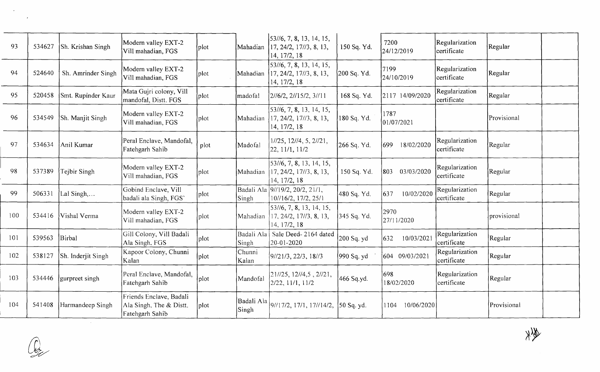| 93  | 534627 | Sh. Krishan Singh  | Modern valley EXT-2<br>Vill mahadian, FGS                             | plot] | Mahadian            | $\left  \frac{53}{16}, 7, 8, 13, 14, 15, \right.$<br>17, 24/2, 17//3, 8, 13,<br>14, 17/2, 18 | 150 Sq. Yd. | 7200<br>24/12/2019  | Regularization<br>certificate | Regular     |  |
|-----|--------|--------------------|-----------------------------------------------------------------------|-------|---------------------|----------------------------------------------------------------------------------------------|-------------|---------------------|-------------------------------|-------------|--|
| 94  | 524640 | Sh. Amrinder Singh | Modern valley EXT-2<br>Vill mahadian, FGS                             | plot  | Mahadian            | 53//6, 7, 8, 13, 14, 15,<br>17, 24/2, 17//3, 8, 13,<br>14, 17/2, 18                          | 200 Sq. Yd. | 7199<br>24/10/2019  | Regularization<br>certificate | Regular     |  |
| 95  | 520458 | Smt. Rupinder Kaur | Mata Gujri colony, Vill<br>mandofal, Distt. FGS                       | plot  | madofal             | $2/16/2$ , $2/115/2$ , $3/111$                                                               | 168 Sq. Yd. | 2117 14/09/2020     | Regularization<br>certificate | Regular     |  |
| 96  | 534549 | Sh. Manjit Singh   | Modern valley EXT-2<br>Vill mahadian, FGS                             | plot  | Mahadian            | 53//6, 7, 8, 13, 14, 15,<br>17, 24/2, 17//3, 8, 13,<br>14, 17/2, 18                          | 180 Sq. Yd. | 1787<br>[01/07/202] |                               | Provisional |  |
| 97  | 534634 | Anil Kumar         | Peral Enclave, Mandofal,<br>Fatehgarh Sahib                           | plot  | Madofal             | 1//25, 12//4, 5, 2//21,<br>22, 11/1, 11/2                                                    | 266 Sq. Yd. | 18/02/2020<br>1699  | Regularization<br>certificate | Regular     |  |
| 98  | 537389 | Tejbir Singh       | Modern valley EXT-2<br>Vill mahadian, FGS                             | plot  | Mahadian            | 53//6, 7, 8, 13, 14, 15,<br>17, 24/2, 17//3, 8, 13,<br>14, 17/2, 18                          | 150 Sq. Yd. | 803<br>03/03/2020   | Regularization<br>certificate | Regular     |  |
| 99  | 506331 | Lal Singh,         | Gobind Enclave, Vill<br>badali ala Singh, FGS'                        | plot  | Singh               | Badali Ala 9//19/2, 20/2, 21/1,<br>10//16/2, 17/2, 25/1                                      | 480 Sq. Yd. | 637<br>10/02/2020   | Regularization<br>certificate | Regular     |  |
| 100 | 534416 | Vishal Verma       | Modern valley EXT-2<br>Vill mahadian, FGS                             | plot  | Mahadian            | [53/16, 7, 8, 13, 14, 15,<br>17, 24/2, 17//3, 8, 13,<br>14, 17/2, 18                         | 345 Sq. Yd. | 2970<br>27/11/2020  |                               | provisional |  |
| 101 | 539563 | Birbal             | Gill Colony, Vill Badali<br>Ala Singh, FGS                            | plot  | Badali Ala<br>Singh | Sale Deed-2164 dated<br>20-01-2020                                                           | 200 Sq. yd  | 10/03/202<br>632    | Regularization<br>certificate | Regular     |  |
| 102 | 538127 | Sh. Inderjit Singh | Kapoor Colony, Chunni<br>Kalan                                        | plot] | Chunni<br>Kalan     | 91/21/3, 22/3, 18/3                                                                          | [990 Sq. yd | 604 09/03/2021      | Regularization<br>certificate | Regular     |  |
| 103 | 534446 | gurpreet singh     | Peral Enclave, Mandofal,<br>Fatehgarh Sahib                           | plot  | Mandofal            | $21/25$ , $12/4$ , 5, $2/21$ ,<br>[2/22, 11/1, 11/2]                                         | 466 Sq.yd.  | 698<br>18/02/2020   | Regularization<br>certificate | Regular     |  |
| 104 | 541408 | Harmandeep Singh   | Friends Enclave, Badali<br>Ala Singh, The & Distt.<br>Fatehgarh Sahib | plot  | Badali Ala<br>Singh | 9//17/2, 17/1, 17//14/2, [50 Sq. yd.                                                         |             | 10/06/2020<br>1104  |                               | Provisional |  |

 $\mathcal{F}_\mathrm{c}$ 

 $\mathcal{L}^{\pm}$ 

 $\mathcal{L}^{\text{max}}_{\text{max}}$ 

 $\begin{picture}(220,20) \put(0,0){\line(1,0){155}} \put(15,0){\line(1,0){155}} \put(15,0){\line(1,0){155}} \put(15,0){\line(1,0){155}} \put(15,0){\line(1,0){155}} \put(15,0){\line(1,0){155}} \put(15,0){\line(1,0){155}} \put(15,0){\line(1,0){155}} \put(15,0){\line(1,0){155}} \put(15,0){\line(1,0){155}} \put(15,0){\line(1,0){155}}$ 

the set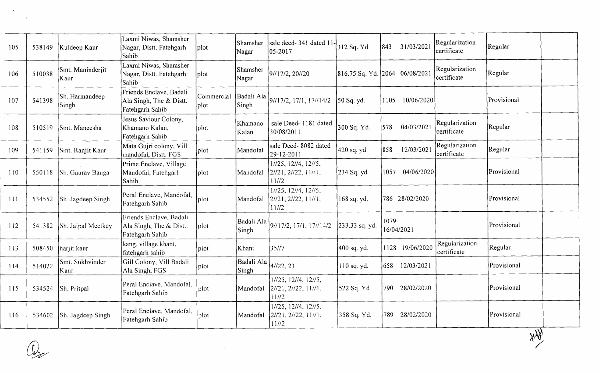| 105 | 538149            | Kuldeep Kaur             | Laxmi Niwas, Shamsher<br>Nagar, Distt. Fatehgarh<br>Sahib             | plot               | Shamsher<br>Nagar   | sale deed-341 dated 11<br>05-2017                          | 312 Sq. Yd     | 843<br>31/03/2021              | Regularization<br>certificate | Regular     |
|-----|-------------------|--------------------------|-----------------------------------------------------------------------|--------------------|---------------------|------------------------------------------------------------|----------------|--------------------------------|-------------------------------|-------------|
| 106 | 510038            | Smt. Maninderjit<br>Kaur | Laxmi Niwas, Shamsher<br>Nagar, Distt. Fatehgarh<br>Sahib             | plot               | Shamsher<br>Nagar   | 9//17/2, 20//20                                            |                | 816.75 Sq. Yd. 2064 06/08/2021 | Regularization<br>certificate | Regular     |
| 107 | 541398            | Sh. Harmandeep<br>Singh  | Friends Enclave, Badali<br>Ala Singh, The & Distt.<br>Fatehgarh Sahib | Commercial<br>plot | Badali Ala<br>Singh | 9//17/2, 17/1, 17//14/2                                    | 50 Sq. yd.     | 1105<br>10/06/2020             |                               | Provisional |
| 108 | 510519            | Smt. Maneesha            | Jesus Saviour Colony,<br>Khamano Kalan,<br>Fatehgarh Sahib            | plot               | Khamano<br>Kalan    | sale Deed-1181 dated<br>30/08/2011                         | 300 Sq. Yd.    | 04/03/2021<br>578              | Regularization<br>certificate | Regular     |
| 109 | 541159            | Smt. Ranjit Kaur         | Mata Gujri colony, Vill<br>mandofal, Distt. FGS                       | plot               | Mandofal            | sale Deed- 8082 dated<br>29-12-2011                        | 420 sq. yd     | 12/03/2021<br>858              | Regularization<br>certificate | Regular     |
| 110 | 550118            | Sh. Gaurav Banga         | Prime Enclave, Village<br>Mandofal, Fatehgarh<br><b>Sahib</b>         | plot               | Mandofal            | 1//25, 12//4, 12//5,<br>2/21, 2/22, 11/1,<br>11/2          | 234 Sq. yd     | 04/06/2020<br>1057             |                               | Provisional |
| 111 | 534552            | Sh. Jagdeep Singh        | Peral Enclave, Mandofal,<br>Fatehgarh Sahib                           | plot               | Mandofal            | 1//25, 12//4, 12//5,<br>2//21, 2//22, 11//1,<br>11/72      | 168 sq. yd.    | 786 28/02/2020                 |                               | Provisional |
| 112 | 541382            | Sh. Jaipal Meetkey       | Friends Enclave, Badali<br>Ala Singh, The & Distt.<br>Fatehgarh Sahib | plot               | Badali Ala<br>Singh | 9//17/2, 17/1, 17//14/2                                    | 233.33 sq. yd. | 1079<br>16/04/2021             |                               | Provisional |
| 113 | 508450            | harjit kaur              | kang, village khant,<br>fatehgarh sahib                               | plot               | Khant               | 35/7                                                       | 400 sq. yd.    | 1128 19/06/2020                | Regularization<br>certificate | Regular     |
| 114 | 514022            | Smt. Sukhvinder<br>Kaur  | Gill Colony, Vill Badali<br>Ala Singh, FGS                            | plot               | Badali Ala<br>Singh | 4/122, 23                                                  | 110 sq. yd.    | 658<br>12/03/2021              |                               | Provisional |
| 115 | 534524            | Sh. Pritpal              | Peral Enclave, Mandofal,<br>Fatehgarh Sahib                           | plot               | Mandofal            | 1//25, 12//4, 12//5,<br>2/21, 2/22, 11/1,<br>11/2          | 522 Sq. Yd     | 790 -<br>28/02/2020            |                               | Provisional |
| 116 | 534602            | Sh. Jagdeep Singh        | Peral Enclave, Mandofal,<br>Fatehgarh Sahib                           | plot               | Mandofal            | 1//25, 12//4, 12//5,<br>$2/21$ , $2/22$ , $11/1$ .<br>11/2 | 358 Sq. Yd.    | 28/02/2020<br>789              |                               | Provisional |
|     | $\left( r\right)$ |                          |                                                                       |                    |                     |                                                            |                |                                |                               | <b>XXX</b>  |

 $\sim 10^{-1}$ 

 $\mathcal{A}$ 

 $\mathbb{Q}$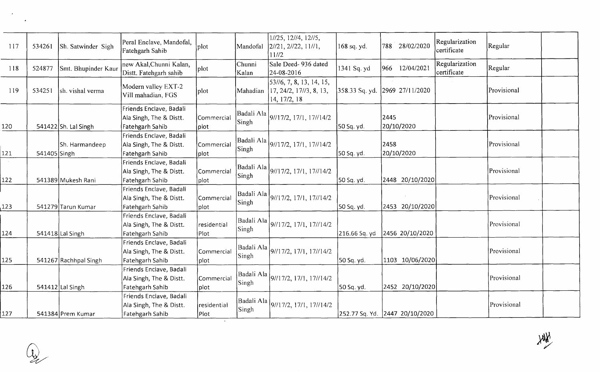| 117 | 534261       | Sh. Satwinder Sigh    | Peral Enclave, Mandofal,<br>Fatehgarh Sahib                           | plot                   | Mandofal                   | 1//25, 12//4, 12//5,<br>[2/21, 2/22, 11/1,<br>11//2                 | 168 sq. yd.    | 788 28/02/2020                 | Regularization<br>certificate | Regular     |
|-----|--------------|-----------------------|-----------------------------------------------------------------------|------------------------|----------------------------|---------------------------------------------------------------------|----------------|--------------------------------|-------------------------------|-------------|
| 118 | 524877       | Smt. Bhupinder Kaur   | new Akal, Chunni Kalan,<br>Distt. Fatehgarh sahib                     | plot                   | Chunni<br>Kalan            | Sale Deed- 936 dated<br>24-08-2016                                  | 1341 Sq. yd    | 966 12/04/2021                 | Regularization<br>certificate | Regular     |
| 119 | 534251       | sh. vishal verma      | Modern valley EXT-2<br>Vill mahadian, FGS                             | plot                   | Mahadian                   | 53//6, 7, 8, 13, 14, 15,<br>17, 24/2, 17/73, 8, 13,<br>14, 17/2, 18 | 358.33 Sq. yd. | 2969 27/11/2020                |                               | Provisional |
| 120 |              | 541422 Sh. Lal Singh  | Friends Enclave, Badali<br>Ala Singh, The & Distt.<br>Fatehgarh Sahib | Commercial<br>plot]    | Badali Ala<br><b>Singh</b> | 9/17/2, 17/1, 17/14/2                                               | 50 Sq. yd.     | 2445<br>20/10/2020             |                               | Provisional |
| 121 | 541405 Singh | Sh. Harmandeep        | Friends Enclave, Badali<br>Ala Singh, The & Distt.<br>Fatehgarh Sahib | Commercial<br> plot    | Badali Ala<br>Singh        | 9/17/2, 17/1, 17/14/2                                               | [50 Sq. yd.    | 2458<br>20/10/2020             |                               | Provisional |
| 122 |              | 541389 Mukesh Rani    | Friends Enclave, Badali<br>Ala Singh, The & Distt.<br>Fatehgarh Sahib | Commercial<br> plot    | Badali Ala<br>Singh        | 9/17/2, 17/1, 17/14/2                                               | 50 Sq. yd.     | 2448 20/10/2020                |                               | Provisional |
| 123 |              | 541279 Tarun Kumar    | Friends Enclave, Badali<br>Ala Singh, The & Distt.<br>Fatehgarh Sahib | Commercial<br>$ $ plot | Singh                      | Badali Ala   9//17/2, 17/1, 17//14/2                                | 50 Sq. yd.     | 2453 20/10/2020                |                               | Provisional |
| 124 |              | $541418$ Lal Singh    | Friends Enclave, Badali<br>Ala Singh, The & Distt.<br>Fatehgarh Sahib | residential<br>Plot    | Badali Ala<br>Singh        | 9/17/2, 17/1, 17/14/2                                               | 216.66 Sq. yd  | 2456 20/10/2020                |                               | Provisional |
| 125 |              | 541267 Rachhpal Singh | Friends Enclave, Badali<br>Ala Singh, The & Distt.<br>Fatehgarh Sahib | Commercial<br>plot     | Badali Ala<br>Singh        | 9/17/2, 17/1, 17/14/2                                               | 50 Sq. yd.     | 1103 10/06/2020                |                               | Provisional |
| 126 |              | 541412 Lal Singh      | Friends Enclave, Badali<br>Ala Singh, The & Distt.<br>Fatehgarh Sahib | Commercial<br>$ $ plot | Badali Ala<br>Singh        | 9/17/2, 17/1, 17/14/2                                               | 50 Sq. yd.     | 2452 20/10/2020                |                               | Provisional |
| 127 |              | 541384 Prem Kumar     | Friends Enclave, Badali<br>Ala Singh, The & Distt.<br>Fatehgarh Sahib | residential<br>Plot    | Badali Ala<br>Singh        | 9/17/2, 17/1, 17/14/2                                               |                | 252.77 Sq. Yd. 2447 20/10/2020 |                               | Provisional |

 $\mathcal{A}$ 

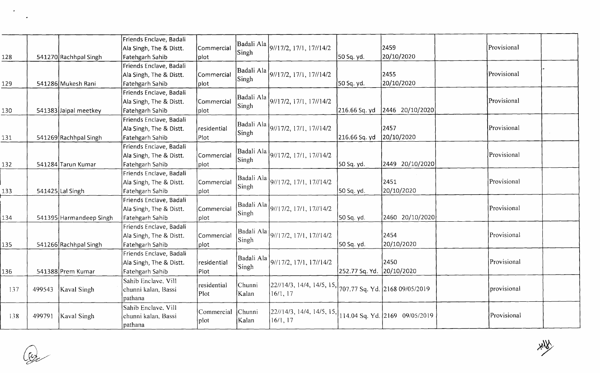| 128 |        | 541270 Rachhpal Singh   | Friends Enclave, Badali<br>Ala Singh, The & Distt.<br>Fatehgarh Sahib | Commercial<br> plot    | Singh                      | Badali Ala 9//17/2, 17/1, 17//14/2                                                    | 50 Sq. yd.     | 2459<br>20/10/2020             | Provisional |  |
|-----|--------|-------------------------|-----------------------------------------------------------------------|------------------------|----------------------------|---------------------------------------------------------------------------------------|----------------|--------------------------------|-------------|--|
| 129 |        | 541286 Mukesh Rani      | Friends Enclave, Badali<br>Ala Singh, The & Distt.<br>Fatehgarh Sahib | Commercial<br> plot    | Badali Ala<br>Singh        | 9/17/2, 17/1, 17/14/2                                                                 | 50 Sq. yd.     | 2455<br>20/10/2020             | Provisional |  |
| 130 |        | 541383 Jaipal meetkey   | Friends Enclave, Badali<br>Ala Singh, The & Distt.<br>Fatehgarh Sahib | Commercial<br> plot    | Badali Ala<br>Singh        | 9/17/2, 17/1, 17/14/2                                                                 | 216.66 Sq. yd  | 2446 20/10/2020                | Provisional |  |
| 131 |        | 541269 Rachhpal Singh   | Friends Enclave, Badali<br>Ala Singh, The & Distt.<br>Fatehgarh Sahib | residential<br>Plot    | Badali Ala<br>Singh        | 9//17/2, 17/1, 17//14/2                                                               | 216.66 Sq. yd  | 2457<br>20/10/2020             | Provisional |  |
| 132 |        | 541284 Tarun Kumar      | Friends Enclave, Badali<br>Ala Singh, The & Distt.<br>Fatehgarh Sahib | Commercial<br>plot     | Badali Ala<br><b>Singh</b> | 9/17/2, 17/1, 17/14/2                                                                 | 50 Sq. yd.     | 2449 20/10/2020                | Provisional |  |
| 133 |        | 541425 Lal Singh        | Friends Enclave, Badali<br>Ala Singh, The & Distt.<br>Fatehgarh Sahib | Commercial<br>plot     | Singh                      | Badali Ala 9//17/2, 17/1, 17//14/2                                                    | 50 Sq. yd.     | 2451<br>20/10/2020             | Provisional |  |
| 134 |        | 541395 Harmandeep Singh | Friends Enclave, Badali<br>Ala Singh, The & Distt.<br>Fatehgarh Sahib | Commercial<br>$ $ plot | Badali Ala<br>Singh        | $\left\{9\frac{\smash{17}}{2}, 17\frac{\smash{1}}{1}, 17\frac{\smash{14}}{2}\right\}$ | 50 Sq. yd.     | 2460 20/10/2020                | Provisional |  |
| 135 |        | 541266 Rachhpal Singh   | Friends Enclave, Badali<br>Ala Singh, The & Distt.<br>Fatehgarh Sahib | Commercial<br> plot    | Badali Ala<br>Singh        | 9/17/2, 17/1, 17/14/2                                                                 | 50 Sq. yd.     | 2454<br>20/10/2020             | Provisional |  |
| 136 |        | 541388 Prem Kumar       | Friends Enclave, Badali<br>Ala Singh, The & Distt.<br>Fatehgarh Sahib | residential<br>Plot    | Badali Ala<br>Singh        | 9/17/2, 17/1, 17/14/2                                                                 | 252.77 Sq. Yd. | 2450<br>20/10/2020             | Provisional |  |
| 137 |        | 499543 Kaval Singh      | Sahib Enclave, Vill<br>chunni kalan, Bassi<br>pathana                 | residential<br> Plot   | Chunni<br>Kalan            | 22//14/3, 14/4, 14/5, 15, 707.77 Sq. Yd. 2168 09/05/2019<br>16/1, 17                  |                |                                | provisional |  |
| 138 | 499791 | Kaval Singh             | Sahib Enclave, Vill<br>chunni kalan, Bassi<br>pathana                 | Commercial<br>plot     | Chunni<br>Kalan            | 22//14/3, 14/4, 14/5, 15,<br>16/1, 17                                                 |                | 114.04 Sq. Yd. 2169 09/05/2019 | Provisional |  |

 $\mathbb{Q}_2$ 

 $\overline{\phantom{a}}$